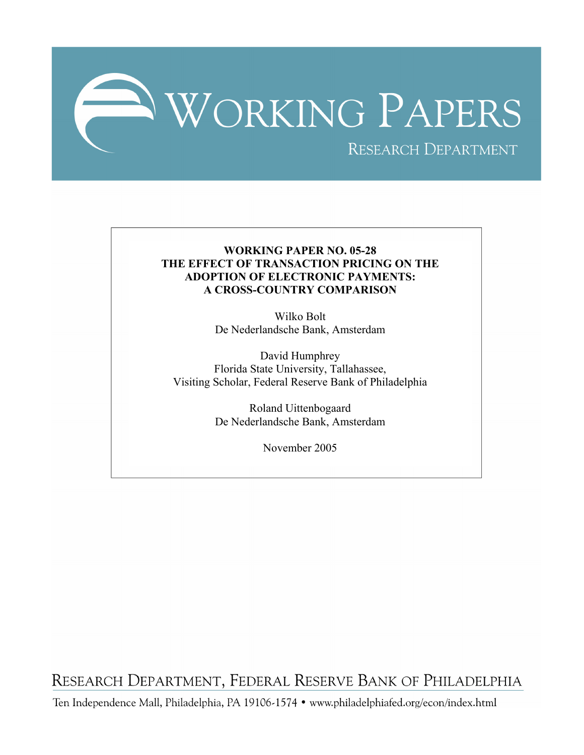

# **WORKING PAPER NO. 05-28 THE EFFECT OF TRANSACTION PRICING ON THE ADOPTION OF ELECTRONIC PAYMENTS: A CROSS-COUNTRY COMPARISON**

Wilko Bolt De Nederlandsche Bank, Amsterdam

David Humphrey Florida State University, Tallahassee, Visiting Scholar, Federal Reserve Bank of Philadelphia

> Roland Uittenbogaard De Nederlandsche Bank, Amsterdam

> > November 2005

RESEARCH DEPARTMENT, FEDERAL RESERVE BANK OF PHILADELPHIA

Ten Independence Mall, Philadelphia, PA 19106-1574 · www.philadelphiafed.org/econ/index.html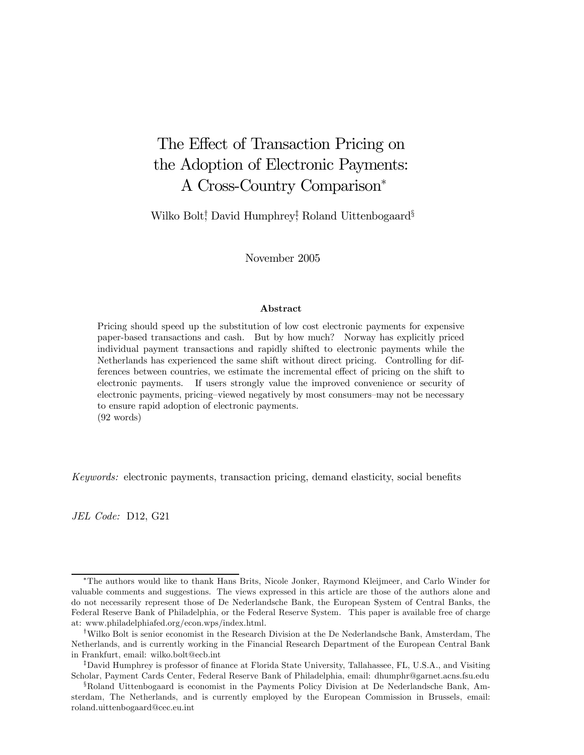# The Effect of Transaction Pricing on the Adoption of Electronic Payments: A Cross-Country Comparison<sup>∗</sup>

Wilko Bolt† , David Humphrey‡ , Roland Uittenbogaard§

November 2005

#### Abstract

Pricing should speed up the substitution of low cost electronic payments for expensive paper-based transactions and cash. But by how much? Norway has explicitly priced individual payment transactions and rapidly shifted to electronic payments while the Netherlands has experienced the same shift without direct pricing. Controlling for differences between countries, we estimate the incremental effect of pricing on the shift to electronic payments. If users strongly value the improved convenience or security of electronic payments, pricing—viewed negatively by most consumers—may not be necessary to ensure rapid adoption of electronic payments. (92 words)

Keywords: electronic payments, transaction pricing, demand elasticity, social benefits

JEL Code: D12, G21

<sup>∗</sup>The authors would like to thank Hans Brits, Nicole Jonker, Raymond Kleijmeer, and Carlo Winder for valuable comments and suggestions. The views expressed in this article are those of the authors alone and do not necessarily represent those of De Nederlandsche Bank, the European System of Central Banks, the Federal Reserve Bank of Philadelphia, or the Federal Reserve System. This paper is available free of charge at: www.philadelphiafed.org/econ.wps/index.html.

<sup>†</sup>Wilko Bolt is senior economist in the Research Division at the De Nederlandsche Bank, Amsterdam, The Netherlands, and is currently working in the Financial Research Department of the European Central Bank in Frankfurt, email: wilko.bolt@ecb.int

<sup>‡</sup>David Humphrey is professor of finance at Florida State University, Tallahassee, FL, U.S.A., and Visiting Scholar, Payment Cards Center, Federal Reserve Bank of Philadelphia, email: dhumphr@garnet.acns.fsu.edu

<sup>§</sup>Roland Uittenbogaard is economist in the Payments Policy Division at De Nederlandsche Bank, Amsterdam, The Netherlands, and is currently employed by the European Commission in Brussels, email: roland.uittenbogaard@cec.eu.int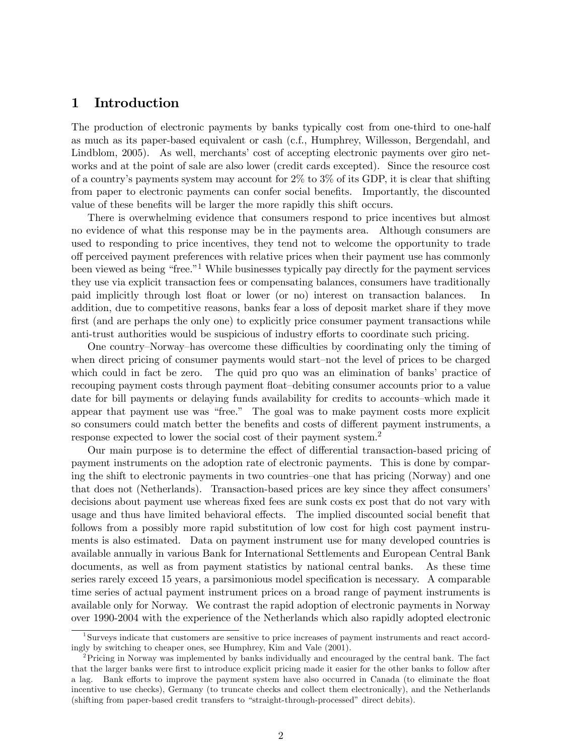## 1 Introduction

The production of electronic payments by banks typically cost from one-third to one-half as much as its paper-based equivalent or cash (c.f., Humphrey, Willesson, Bergendahl, and Lindblom, 2005). As well, merchants' cost of accepting electronic payments over giro networks and at the point of sale are also lower (credit cards excepted). Since the resource cost of a country's payments system may account for  $2\%$  to  $3\%$  of its GDP, it is clear that shifting from paper to electronic payments can confer social benefits. Importantly, the discounted value of these benefits will be larger the more rapidly this shift occurs.

There is overwhelming evidence that consumers respond to price incentives but almost no evidence of what this response may be in the payments area. Although consumers are used to responding to price incentives, they tend not to welcome the opportunity to trade off perceived payment preferences with relative prices when their payment use has commonly been viewed as being "free."1 While businesses typically pay directly for the payment services they use via explicit transaction fees or compensating balances, consumers have traditionally paid implicitly through lost float or lower (or no) interest on transaction balances. In addition, due to competitive reasons, banks fear a loss of deposit market share if they move first (and are perhaps the only one) to explicitly price consumer payment transactions while anti-trust authorities would be suspicious of industry efforts to coordinate such pricing.

One country—Norway—has overcome these difficulties by coordinating only the timing of when direct pricing of consumer payments would start—not the level of prices to be charged which could in fact be zero. The quid pro quo was an elimination of banks' practice of recouping payment costs through payment float—debiting consumer accounts prior to a value date for bill payments or delaying funds availability for credits to accounts—which made it appear that payment use was "free." The goal was to make payment costs more explicit so consumers could match better the benefits and costs of different payment instruments, a response expected to lower the social cost of their payment system.2

Our main purpose is to determine the effect of differential transaction-based pricing of payment instruments on the adoption rate of electronic payments. This is done by comparing the shift to electronic payments in two countries—one that has pricing (Norway) and one that does not (Netherlands). Transaction-based prices are key since they affect consumers' decisions about payment use whereas fixed fees are sunk costs ex post that do not vary with usage and thus have limited behavioral effects. The implied discounted social benefit that follows from a possibly more rapid substitution of low cost for high cost payment instruments is also estimated. Data on payment instrument use for many developed countries is available annually in various Bank for International Settlements and European Central Bank documents, as well as from payment statistics by national central banks. As these time series rarely exceed 15 years, a parsimonious model specification is necessary. A comparable time series of actual payment instrument prices on a broad range of payment instruments is available only for Norway. We contrast the rapid adoption of electronic payments in Norway over 1990-2004 with the experience of the Netherlands which also rapidly adopted electronic

<sup>&</sup>lt;sup>1</sup>Surveys indicate that customers are sensitive to price increases of payment instruments and react accordingly by switching to cheaper ones, see Humphrey, Kim and Vale (2001).

<sup>2</sup>Pricing in Norway was implemented by banks individually and encouraged by the central bank. The fact that the larger banks were first to introduce explicit pricing made it easier for the other banks to follow after a lag. Bank efforts to improve the payment system have also occurred in Canada (to eliminate the float incentive to use checks), Germany (to truncate checks and collect them electronically), and the Netherlands (shifting from paper-based credit transfers to "straight-through-processed" direct debits).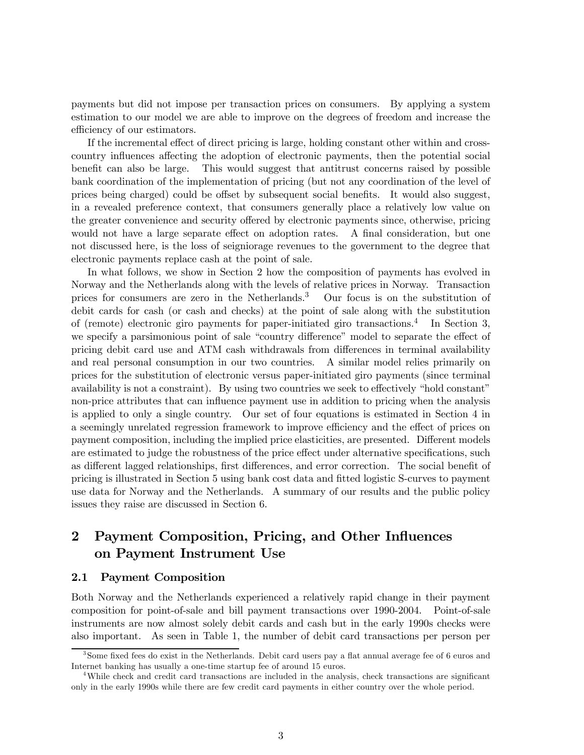payments but did not impose per transaction prices on consumers. By applying a system estimation to our model we are able to improve on the degrees of freedom and increase the efficiency of our estimators.

If the incremental effect of direct pricing is large, holding constant other within and crosscountry influences affecting the adoption of electronic payments, then the potential social benefit can also be large. This would suggest that antitrust concerns raised by possible bank coordination of the implementation of pricing (but not any coordination of the level of prices being charged) could be offset by subsequent social benefits. It would also suggest, in a revealed preference context, that consumers generally place a relatively low value on the greater convenience and security offered by electronic payments since, otherwise, pricing would not have a large separate effect on adoption rates. A final consideration, but one not discussed here, is the loss of seigniorage revenues to the government to the degree that electronic payments replace cash at the point of sale.

In what follows, we show in Section 2 how the composition of payments has evolved in Norway and the Netherlands along with the levels of relative prices in Norway. Transaction prices for consumers are zero in the Netherlands.<sup>3</sup> Our focus is on the substitution of debit cards for cash (or cash and checks) at the point of sale along with the substitution of (remote) electronic giro payments for paper-initiated giro transactions.<sup>4</sup> In Section 3, we specify a parsimonious point of sale "country difference" model to separate the effect of pricing debit card use and ATM cash withdrawals from differences in terminal availability and real personal consumption in our two countries. A similar model relies primarily on prices for the substitution of electronic versus paper-initiated giro payments (since terminal availability is not a constraint). By using two countries we seek to effectively "hold constant" non-price attributes that can influence payment use in addition to pricing when the analysis is applied to only a single country. Our set of four equations is estimated in Section 4 in a seemingly unrelated regression framework to improve efficiency and the effect of prices on payment composition, including the implied price elasticities, are presented. Different models are estimated to judge the robustness of the price effect under alternative specifications, such as different lagged relationships, first differences, and error correction. The social benefit of pricing is illustrated in Section 5 using bank cost data and fitted logistic S-curves to payment use data for Norway and the Netherlands. A summary of our results and the public policy issues they raise are discussed in Section 6.

# 2 Payment Composition, Pricing, and Other Influences on Payment Instrument Use

#### 2.1 Payment Composition

Both Norway and the Netherlands experienced a relatively rapid change in their payment composition for point-of-sale and bill payment transactions over 1990-2004. Point-of-sale instruments are now almost solely debit cards and cash but in the early 1990s checks were also important. As seen in Table 1, the number of debit card transactions per person per

<sup>3</sup>Some fixed fees do exist in the Netherlands. Debit card users pay a flat annual average fee of 6 euros and Internet banking has usually a one-time startup fee of around 15 euros.

<sup>&</sup>lt;sup>4</sup>While check and credit card transactions are included in the analysis, check transactions are significant only in the early 1990s while there are few credit card payments in either country over the whole period.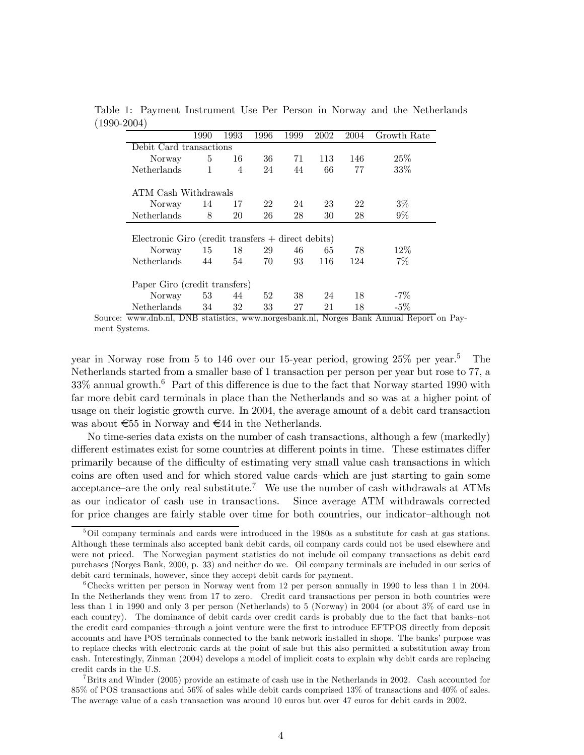| $\prime$                                                                                                     | 1990                 | 1993 | 1996 | 1999 | 2002 | 2004 | Growth Rate |
|--------------------------------------------------------------------------------------------------------------|----------------------|------|------|------|------|------|-------------|
| Debit Card transactions                                                                                      |                      |      |      |      |      |      |             |
| Norway                                                                                                       | 5                    | 16   | 36   | 71   | 113  | 146  | 25%         |
| <b>Netherlands</b>                                                                                           | 1                    | 4    | 24   | 44   | 66   | 77   | 33%         |
|                                                                                                              | ATM Cash Withdrawals |      |      |      |      |      |             |
| <b>Norway</b>                                                                                                | 14                   | 17   | 22   | 24   | 23   | 22   | $3\%$       |
| Netherlands                                                                                                  | 8                    | 20   | 26   | 28   | 30   | 28   | $9\%$       |
| Electronic Giro (credit transfers $+$ direct debits)<br>$12\%$<br>18<br>29<br>46<br>78<br>65<br>15<br>Norway |                      |      |      |      |      |      |             |
| Netherlands                                                                                                  | 44                   | 54   | 70   | 93   | 116  | 124  | $7\%$       |
| Paper Giro (credit transfers)                                                                                |                      |      |      |      |      |      |             |
| Norway                                                                                                       | 53                   | 44   | 52   | 38   | 24   | 18   | $-7\%$      |
| Netherlands                                                                                                  | 34                   | 32   | 33   | 27   | 21   | 18   | $-5\%$      |

Table 1: Payment Instrument Use Per Person in Norway and the Netherlands (1990-2004)

Source: www.dnb.nl, DNB statistics, www.norgesbank.nl, Norges Bank Annual Report on Payment Systems.

year in Norway rose from 5 to 146 over our 15-year period, growing  $25\%$  per year.<sup>5</sup> The Netherlands started from a smaller base of 1 transaction per person per year but rose to 77, a  $33\%$  annual growth.<sup>6</sup> Part of this difference is due to the fact that Norway started 1990 with far more debit card terminals in place than the Netherlands and so was at a higher point of usage on their logistic growth curve. In 2004, the average amount of a debit card transaction was about €55 in Norway and €44 in the Netherlands.

No time-series data exists on the number of cash transactions, although a few (markedly) different estimates exist for some countries at different points in time. These estimates differ primarily because of the difficulty of estimating very small value cash transactions in which coins are often used and for which stored value cards—which are just starting to gain some acceptance–are the only real substitute.<sup>7</sup> We use the number of cash withdrawals at ATMs as our indicator of cash use in transactions. Since average ATM withdrawals corrected for price changes are fairly stable over time for both countries, our indicator—although not

<sup>&</sup>lt;sup>5</sup>Oil company terminals and cards were introduced in the 1980s as a substitute for cash at gas stations. Although these terminals also accepted bank debit cards, oil company cards could not be used elsewhere and were not priced. The Norwegian payment statistics do not include oil company transactions as debit card purchases (Norges Bank, 2000, p. 33) and neither do we. Oil company terminals are included in our series of debit card terminals, however, since they accept debit cards for payment.

<sup>6</sup>Checks written per person in Norway went from 12 per person annually in 1990 to less than 1 in 2004. In the Netherlands they went from 17 to zero. Credit card transactions per person in both countries were less than 1 in 1990 and only 3 per person (Netherlands) to 5 (Norway) in 2004 (or about 3% of card use in each country). The dominance of debit cards over credit cards is probably due to the fact that banks—not the credit card companies—through a joint venture were the first to introduce EFTPOS directly from deposit accounts and have POS terminals connected to the bank network installed in shops. The banks' purpose was to replace checks with electronic cards at the point of sale but this also permitted a substitution away from cash. Interestingly, Zinman (2004) develops a model of implicit costs to explain why debit cards are replacing credit cards in the U.S.

<sup>7</sup>Brits and Winder (2005) provide an estimate of cash use in the Netherlands in 2002. Cash accounted for 85% of POS transactions and 56% of sales while debit cards comprised 13% of transactions and 40% of sales. The average value of a cash transaction was around 10 euros but over 47 euros for debit cards in 2002.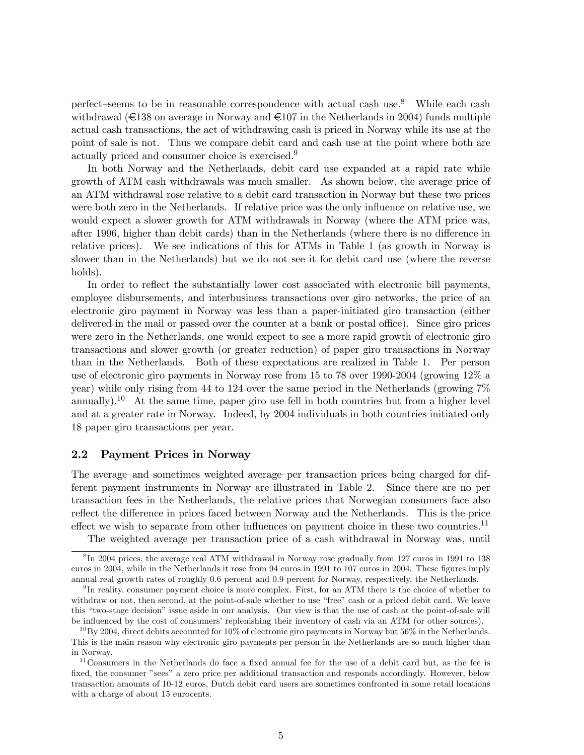perfect—seems to be in reasonable correspondence with actual cash use.8 While each cash withdrawal ( $\epsilon$ 138 on average in Norway and  $\epsilon$ 107 in the Netherlands in 2004) funds multiple actual cash transactions, the act of withdrawing cash is priced in Norway while its use at the point of sale is not. Thus we compare debit card and cash use at the point where both are actually priced and consumer choice is exercised.9

In both Norway and the Netherlands, debit card use expanded at a rapid rate while growth of ATM cash withdrawals was much smaller. As shown below, the average price of an ATM withdrawal rose relative to a debit card transaction in Norway but these two prices were both zero in the Netherlands. If relative price was the only influence on relative use, we would expect a slower growth for ATM withdrawals in Norway (where the ATM price was, after 1996, higher than debit cards) than in the Netherlands (where there is no difference in relative prices). We see indications of this for ATMs in Table 1 (as growth in Norway is slower than in the Netherlands) but we do not see it for debit card use (where the reverse holds).

In order to reflect the substantially lower cost associated with electronic bill payments, employee disbursements, and interbusiness transactions over giro networks, the price of an electronic giro payment in Norway was less than a paper-initiated giro transaction (either delivered in the mail or passed over the counter at a bank or postal office). Since giro prices were zero in the Netherlands, one would expect to see a more rapid growth of electronic giro transactions and slower growth (or greater reduction) of paper giro transactions in Norway than in the Netherlands. Both of these expectations are realized in Table 1. Per person use of electronic giro payments in Norway rose from 15 to 78 over 1990-2004 (growing 12% a year) while only rising from 44 to 124 over the same period in the Netherlands (growing 7% annually).<sup>10</sup> At the same time, paper giro use fell in both countries but from a higher level and at a greater rate in Norway. Indeed, by 2004 individuals in both countries initiated only 18 paper giro transactions per year.

#### 2.2 Payment Prices in Norway

The average—and sometimes weighted average—per transaction prices being charged for different payment instruments in Norway are illustrated in Table 2. Since there are no per transaction fees in the Netherlands, the relative prices that Norwegian consumers face also reflect the difference in prices faced between Norway and the Netherlands. This is the price effect we wish to separate from other influences on payment choice in these two countries.<sup>11</sup>

The weighted average per transaction price of a cash withdrawal in Norway was, until

<sup>8</sup> In 2004 prices, the average real ATM withdrawal in Norway rose gradually from 127 euros in 1991 to 138 euros in 2004, while in the Netherlands it rose from 94 euros in 1991 to 107 euros in 2004. These figures imply annual real growth rates of roughly 0.6 percent and 0.9 percent for Norway, respectively, the Netherlands.

 $9\,\text{In reality, consumer payment choice is more complex. First, for an ATM there is the choice of whether to$ withdraw or not, then second, at the point-of-sale whether to use "free" cash or a priced debit card. We leave this "two-stage decision" issue aside in our analysis. Our view is that the use of cash at the point-of-sale will be influenced by the cost of consumers' replenishing their inventory of cash via an ATM (or other sources).

 $^{10}$ By 2004, direct debits accounted for 10% of electronic giro payments in Norway but 56% in the Netherlands. This is the main reason why electronic giro payments per person in the Netherlands are so much higher than in Norway.

 $11$ Consumers in the Netherlands do face a fixed annual fee for the use of a debit card but, as the fee is fixed, the consumer "sees" a zero price per additional transaction and responds accordingly. However, below transaction amounts of 10-12 euros, Dutch debit card users are sometimes confronted in some retail locations with a charge of about 15 eurocents.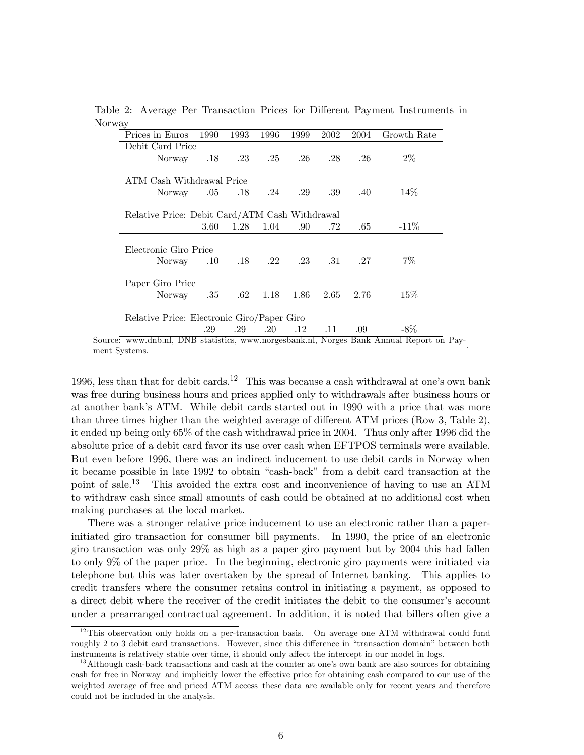Table 2: Average Per Transaction Prices for Different Payment Instruments in Norway

| Prices in Euros                                         | 1990 | 1993 | 1996    | 1999      | 2002                              | 2004    | Growth Rate |
|---------------------------------------------------------|------|------|---------|-----------|-----------------------------------|---------|-------------|
| Debit Card Price                                        |      |      |         |           |                                   |         |             |
| Norway                                                  |      |      |         |           | $.18 \t .23 \t .25 \t .26 \t .28$ | $.26\,$ | $2\%$       |
| ATM Cash Withdrawal Price                               |      |      |         |           |                                   |         |             |
| Norway .05 .18 .24 .29 .39                              |      |      |         |           |                                   | .40     | 14\%        |
| Relative Price: Debit Card/ATM Cash Withdrawal          |      |      |         |           |                                   |         |             |
|                                                         | 3.60 | 1.28 | 1.04    | .90.      | .72                               | .65     | $-11\%$     |
| Electronic Giro Price<br>Norway .10 .18 .22 .23 .31 .27 |      |      |         |           |                                   |         | $7\%$       |
| Paper Giro Price                                        |      |      |         |           |                                   |         |             |
| Norway .35                                              |      | .62  |         | 1.18 1.86 | 2.65                              | 2.76    | 15%         |
| Relative Price: Electronic Giro/Paper Giro              |      |      |         |           |                                   |         |             |
|                                                         |      | .29  | $.20\,$ | $.12\,$   | .11                               | .09     | $-8\%$      |

1996, less than that for debit cards.<sup>12</sup> This was because a cash withdrawal at one's own bank was free during business hours and prices applied only to withdrawals after business hours or at another bank's ATM. While debit cards started out in 1990 with a price that was more than three times higher than the weighted average of different ATM prices (Row 3, Table 2), it ended up being only 65% of the cash withdrawal price in 2004. Thus only after 1996 did the absolute price of a debit card favor its use over cash when EFTPOS terminals were available. But even before 1996, there was an indirect inducement to use debit cards in Norway when it became possible in late 1992 to obtain "cash-back" from a debit card transaction at the point of sale.13 This avoided the extra cost and inconvenience of having to use an ATM to withdraw cash since small amounts of cash could be obtained at no additional cost when making purchases at the local market.

There was a stronger relative price inducement to use an electronic rather than a paperinitiated giro transaction for consumer bill payments. In 1990, the price of an electronic giro transaction was only 29% as high as a paper giro payment but by 2004 this had fallen to only 9% of the paper price. In the beginning, electronic giro payments were initiated via telephone but this was later overtaken by the spread of Internet banking. This applies to credit transfers where the consumer retains control in initiating a payment, as opposed to a direct debit where the receiver of the credit initiates the debit to the consumer's account under a prearranged contractual agreement. In addition, it is noted that billers often give a

 $12$ This observation only holds on a per-transaction basis. On average one ATM withdrawal could fund roughly 2 to 3 debit card transactions. However, since this difference in "transaction domain" between both instruments is relatively stable over time, it should only affect the intercept in our model in logs.

<sup>&</sup>lt;sup>13</sup> Although cash-back transactions and cash at the counter at one's own bank are also sources for obtaining cash for free in Norway—and implicitly lower the effective price for obtaining cash compared to our use of the weighted average of free and priced ATM access—these data are available only for recent years and therefore could not be included in the analysis.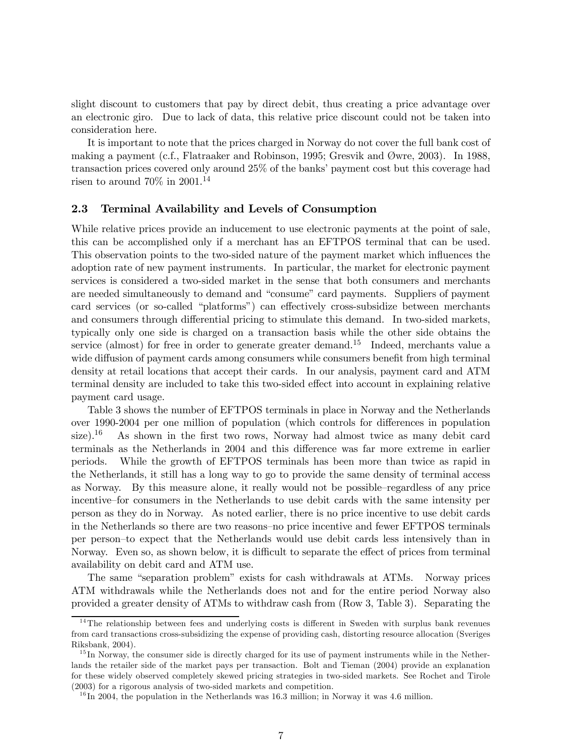slight discount to customers that pay by direct debit, thus creating a price advantage over an electronic giro. Due to lack of data, this relative price discount could not be taken into consideration here.

It is important to note that the prices charged in Norway do not cover the full bank cost of making a payment (c.f., Flatraaker and Robinson, 1995; Gresvik and Øwre, 2003). In 1988, transaction prices covered only around 25% of the banks' payment cost but this coverage had risen to around  $70\%$  in  $2001.<sup>14</sup>$ 

#### 2.3 Terminal Availability and Levels of Consumption

While relative prices provide an inducement to use electronic payments at the point of sale, this can be accomplished only if a merchant has an EFTPOS terminal that can be used. This observation points to the two-sided nature of the payment market which influences the adoption rate of new payment instruments. In particular, the market for electronic payment services is considered a two-sided market in the sense that both consumers and merchants are needed simultaneously to demand and "consume" card payments. Suppliers of payment card services (or so-called "platforms") can effectively cross-subsidize between merchants and consumers through differential pricing to stimulate this demand. In two-sided markets, typically only one side is charged on a transaction basis while the other side obtains the service (almost) for free in order to generate greater demand.<sup>15</sup> Indeed, merchants value a wide diffusion of payment cards among consumers while consumers benefit from high terminal density at retail locations that accept their cards. In our analysis, payment card and ATM terminal density are included to take this two-sided effect into account in explaining relative payment card usage.

Table 3 shows the number of EFTPOS terminals in place in Norway and the Netherlands over 1990-2004 per one million of population (which controls for differences in population size).<sup>16</sup> As shown in the first two rows, Norway had almost twice as many debit card terminals as the Netherlands in 2004 and this difference was far more extreme in earlier periods. While the growth of EFTPOS terminals has been more than twice as rapid in the Netherlands, it still has a long way to go to provide the same density of terminal access as Norway. By this measure alone, it really would not be possible—regardless of any price incentive—for consumers in the Netherlands to use debit cards with the same intensity per person as they do in Norway. As noted earlier, there is no price incentive to use debit cards in the Netherlands so there are two reasons—no price incentive and fewer EFTPOS terminals per person—to expect that the Netherlands would use debit cards less intensively than in Norway. Even so, as shown below, it is difficult to separate the effect of prices from terminal availability on debit card and ATM use.

The same "separation problem" exists for cash withdrawals at ATMs. Norway prices ATM withdrawals while the Netherlands does not and for the entire period Norway also provided a greater density of ATMs to withdraw cash from (Row 3, Table 3). Separating the

<sup>&</sup>lt;sup>14</sup>The relationship between fees and underlying costs is different in Sweden with surplus bank revenues from card transactions cross-subsidizing the expense of providing cash, distorting resource allocation (Sveriges Riksbank, 2004).

 $15$  In Norway, the consumer side is directly charged for its use of payment instruments while in the Netherlands the retailer side of the market pays per transaction. Bolt and Tieman (2004) provide an explanation for these widely observed completely skewed pricing strategies in two-sided markets. See Rochet and Tirole (2003) for a rigorous analysis of two-sided markets and competition.

 $^{16}$  In 2004, the population in the Netherlands was 16.3 million; in Norway it was 4.6 million.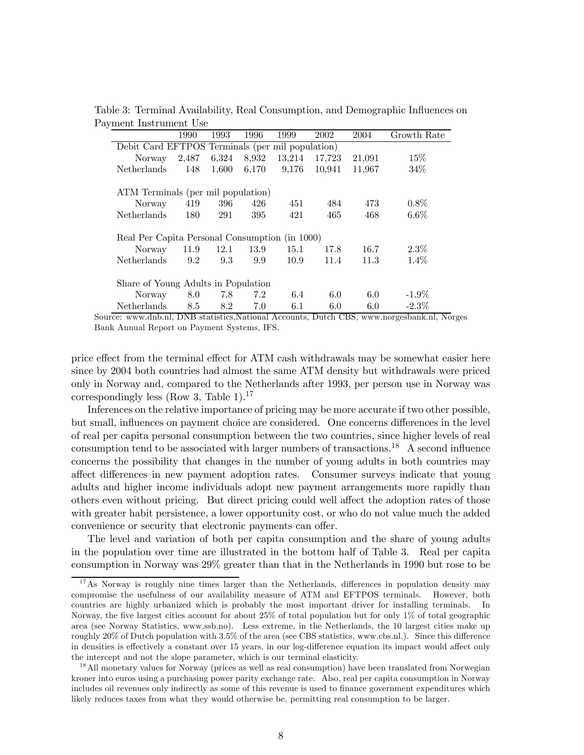| Table 3: Terminal Availability, Real Consumption, and Demographic Influences on |  |  |  |
|---------------------------------------------------------------------------------|--|--|--|
| Payment Instrument Use                                                          |  |  |  |

|                                                | 1990                                             | 1993  | 1996  | 1999   | 2002   | 2004   | Growth Rate |  |
|------------------------------------------------|--------------------------------------------------|-------|-------|--------|--------|--------|-------------|--|
|                                                | Debit Card EFTPOS Terminals (per mil population) |       |       |        |        |        |             |  |
| Norway                                         | 2,487                                            | 6,324 | 8,932 | 13,214 | 17,723 | 21,091 | $15\%$      |  |
| <b>Netherlands</b>                             | 148                                              | 1,600 | 6,170 | 9,176  | 10.941 | 11,967 | $34\%$      |  |
|                                                |                                                  |       |       |        |        |        |             |  |
|                                                | ATM Terminals (per mil population)               |       |       |        |        |        |             |  |
| Norway                                         | 419                                              | 396   | 426   | 451    | 484    | 473    | $0.8\%$     |  |
| Netherlands                                    | 180                                              | 291   | 395   | 421    | 465    | 468    | $6.6\%$     |  |
|                                                |                                                  |       |       |        |        |        |             |  |
| Real Per Capita Personal Consumption (in 1000) |                                                  |       |       |        |        |        |             |  |
| Norway                                         | 11.9                                             | 12.1  | 13.9  | 15.1   | 17.8   | 16.7   | $2.3\%$     |  |
| Netherlands                                    | 9.2                                              | 9.3   | 9.9   | 10.9   | 11.4   | 11.3   | $1.4\%$     |  |
|                                                |                                                  |       |       |        |        |        |             |  |
| Share of Young Adults in Population            |                                                  |       |       |        |        |        |             |  |
| Norway                                         | 8.0                                              | 7.8   | 7.2   | 6.4    | 6.0    | 6.0    | $-1.9\%$    |  |
| Netherlands                                    | 8.5                                              | 8.2   | 7.0   | 6.1    | 6.0    | 6.0    | $-2.3\%$    |  |

Source: www.dnb.nl, DNB statistics,National Accounts, Dutch CBS, www.norgesbank.nl, Norges Bank Annual Report on Payment Systems, IFS.

price effect from the terminal effect for ATM cash withdrawals may be somewhat easier here since by 2004 both countries had almost the same ATM density but withdrawals were priced only in Norway and, compared to the Netherlands after 1993, per person use in Norway was correspondingly less (Row 3, Table 1).<sup>17</sup>

Inferences on the relative importance of pricing may be more accurate if two other possible, but small, influences on payment choice are considered. One concerns differences in the level of real per capita personal consumption between the two countries, since higher levels of real consumption tend to be associated with larger numbers of transactions.18 A second influence concerns the possibility that changes in the number of young adults in both countries may affect differences in new payment adoption rates. Consumer surveys indicate that young adults and higher income individuals adopt new payment arrangements more rapidly than others even without pricing. But direct pricing could well affect the adoption rates of those with greater habit persistence, a lower opportunity cost, or who do not value much the added convenience or security that electronic payments can offer.

The level and variation of both per capita consumption and the share of young adults in the population over time are illustrated in the bottom half of Table 3. Real per capita consumption in Norway was 29% greater than that in the Netherlands in 1990 but rose to be

 $17$ As Norway is roughly nine times larger than the Netherlands, differences in population density may compromise the usefulness of our availability measure of ATM and EFTPOS terminals. However, both countries are highly urbanized which is probably the most important driver for installing terminals. In Norway, the five largest cities account for about 25% of total population but for only 1% of total geographic area (see Norway Statistics, www.ssb.no). Less extreme, in the Netherlands, the 10 largest cities make up roughly 20% of Dutch population with 3.5% of the area (see CBS statistics, www.cbs.nl.). Since this difference in densities is effectively a constant over 15 years, in our log-difference equation its impact would affect only the intercept and not the slope parameter, which is our terminal elasticity.

<sup>&</sup>lt;sup>18</sup> All monetary values for Norway (prices as well as real consumption) have been translated from Norwegian kroner into euros using a purchasing power parity exchange rate. Also, real per capita consumption in Norway includes oil revenues only indirectly as some of this revenue is used to finance government expenditures which likely reduces taxes from what they would otherwise be, permitting real consumption to be larger.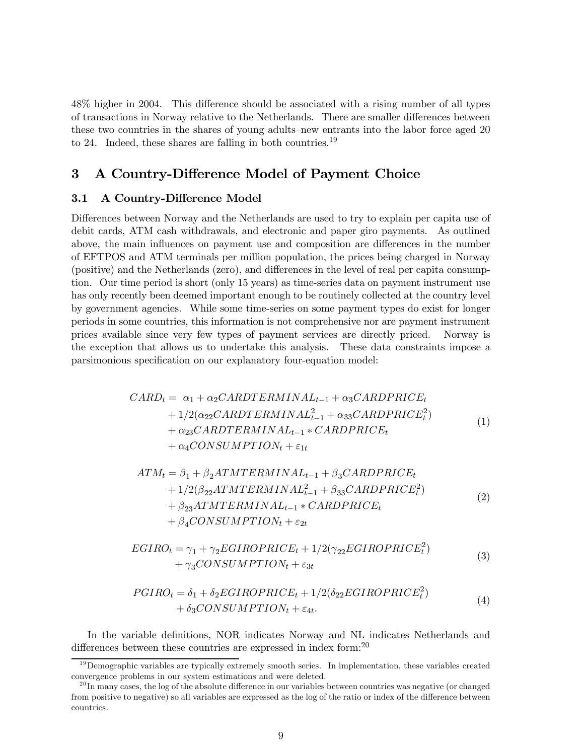48% higher in 2004. This difference should be associated with a rising number of all types of transactions in Norway relative to the Netherlands. There are smaller differences between these two countries in the shares of young adults—new entrants into the labor force aged 20 to 24. Indeed, these shares are falling in both countries.<sup>19</sup>

# 3 A Country-Difference Model of Payment Choice

#### 3.1 A Country-Difference Model

Differences between Norway and the Netherlands are used to try to explain per capita use of debit cards, ATM cash withdrawals, and electronic and paper giro payments. As outlined above, the main influences on payment use and composition are differences in the number of EFTPOS and ATM terminals per million population, the prices being charged in Norway (positive) and the Netherlands (zero), and differences in the level of real per capita consumption. Our time period is short (only 15 years) as time-series data on payment instrument use has only recently been deemed important enough to be routinely collected at the country level by government agencies. While some time-series on some payment types do exist for longer periods in some countries, this information is not comprehensive nor are payment instrument prices available since very few types of payment services are directly priced. Norway is the exception that allows us to undertake this analysis. These data constraints impose a parsimonious specification on our explanatory four-equation model:

$$
CARD_t = \alpha_1 + \alpha_2 CARDTERMINAL_{t-1} + \alpha_3 CARDPRICE_t + 1/2(\alpha_{22} CARDTERMINAL_{t-1}^2 + \alpha_{33} CARDPRICE_t^2) + \alpha_{23} CARDTERMINAL_{t-1} * CARDPRICE_t + \alpha_4 CONSUMPTION_t + \varepsilon_{1t}
$$
\n(1)

$$
ATM_t = \beta_1 + \beta_2 ATMTERMINAL_{t-1} + \beta_3 CARDPRICE_t + 1/2(\beta_{22}ATMTERMINAL_{t-1}^2 + \beta_{33} CARDPRICE_t^2) + \beta_{23}ATMTERMINAL_{t-1} * CARDPRICE_t + \beta_4 CONSUMPTION_t + \varepsilon_{2t}
$$
\n(2)

$$
EGIRO_t = \gamma_1 + \gamma_2 EGIROPRICE_t + 1/2(\gamma_{22} EGIROPRICE_t^2) + \gamma_3 CONSUMPTION_t + \varepsilon_{3t}
$$
\n(3)

$$
PGIRO_t = \delta_1 + \delta_2EGIROPRICE_t + 1/2(\delta_{22}EGIROPRICE_t^2) + \delta_3CONSUMPTION_t + \varepsilon_{4t}.
$$
\n(4)

In the variable definitions, NOR indicates Norway and NL indicates Netherlands and differences between these countries are expressed in index form:<sup>20</sup>

 $19$  Demographic variables are typically extremely smooth series. In implementation, these variables created convergence problems in our system estimations and were deleted.

 $^{20}$ In many cases, the log of the absolute difference in our variables between countries was negative (or changed from positive to negative) so all variables are expressed as the log of the ratio or index of the difference between countries.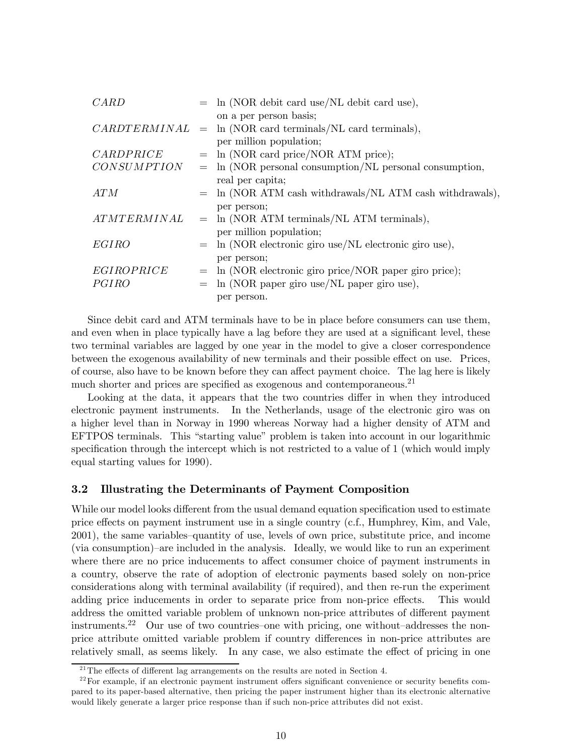| CARD               | $=$ ln (NOR debit card use/NL debit card use),             |
|--------------------|------------------------------------------------------------|
|                    | on a per person basis;                                     |
| CARDTERMINAL       | $=$ ln (NOR card terminals/NL card terminals),             |
|                    | per million population;                                    |
| CARDPRICE          | $=$ ln (NOR card price/NOR ATM price);                     |
| <b>CONSUMPTION</b> | $=$ ln (NOR personal consumption/NL personal consumption,  |
|                    | real per capita;                                           |
| ATM                | $=$ ln (NOR ATM cash withdrawals/NL ATM cash withdrawals), |
|                    | per person;                                                |
| <i>ATMTERMINAL</i> | $=$ ln (NOR ATM terminals/NL ATM terminals),               |
|                    | per million population;                                    |
| <b>EGIRO</b>       | $=$ ln (NOR electronic giro use/NL electronic giro use),   |
|                    | per person;                                                |
| EGIROPRICE         | $=$ ln (NOR electronic giro price/NOR paper giro price);   |
| PGIRO              | $=$ ln (NOR paper giro use/NL paper giro use),             |
|                    | per person.                                                |

Since debit card and ATM terminals have to be in place before consumers can use them, and even when in place typically have a lag before they are used at a significant level, these two terminal variables are lagged by one year in the model to give a closer correspondence between the exogenous availability of new terminals and their possible effect on use. Prices, of course, also have to be known before they can affect payment choice. The lag here is likely much shorter and prices are specified as exogenous and contemporaneous.<sup>21</sup>

Looking at the data, it appears that the two countries differ in when they introduced electronic payment instruments. In the Netherlands, usage of the electronic giro was on a higher level than in Norway in 1990 whereas Norway had a higher density of ATM and EFTPOS terminals. This "starting value" problem is taken into account in our logarithmic specification through the intercept which is not restricted to a value of 1 (which would imply equal starting values for 1990).

#### 3.2 Illustrating the Determinants of Payment Composition

While our model looks different from the usual demand equation specification used to estimate price effects on payment instrument use in a single country (c.f., Humphrey, Kim, and Vale, 2001), the same variables—quantity of use, levels of own price, substitute price, and income (via consumption)—are included in the analysis. Ideally, we would like to run an experiment where there are no price inducements to affect consumer choice of payment instruments in a country, observe the rate of adoption of electronic payments based solely on non-price considerations along with terminal availability (if required), and then re-run the experiment adding price inducements in order to separate price from non-price effects. This would address the omitted variable problem of unknown non-price attributes of different payment instruments.<sup>22</sup> Our use of two countries-one with pricing, one without-addresses the nonprice attribute omitted variable problem if country differences in non-price attributes are relatively small, as seems likely. In any case, we also estimate the effect of pricing in one

 $^{21}$ The effects of different lag arrangements on the results are noted in Section 4.

 $22$  For example, if an electronic payment instrument offers significant convenience or security benefits compared to its paper-based alternative, then pricing the paper instrument higher than its electronic alternative would likely generate a larger price response than if such non-price attributes did not exist.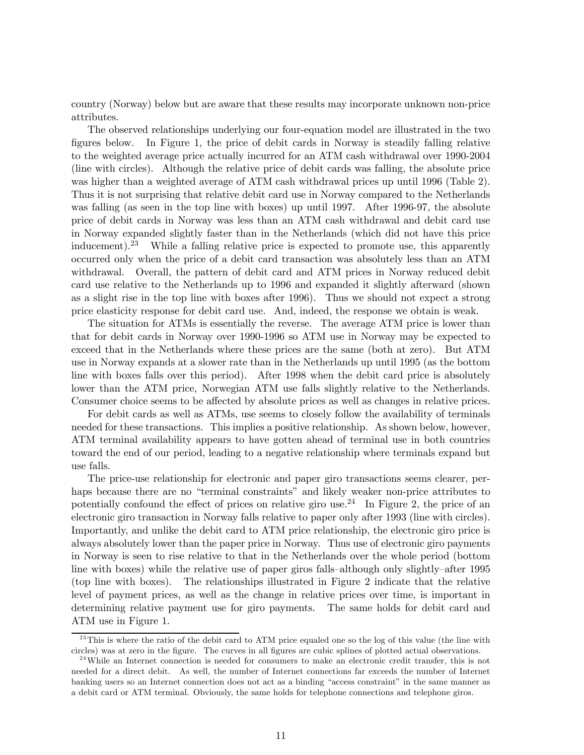country (Norway) below but are aware that these results may incorporate unknown non-price attributes.

The observed relationships underlying our four-equation model are illustrated in the two figures below. In Figure 1, the price of debit cards in Norway is steadily falling relative to the weighted average price actually incurred for an ATM cash withdrawal over 1990-2004 (line with circles). Although the relative price of debit cards was falling, the absolute price was higher than a weighted average of ATM cash withdrawal prices up until 1996 (Table 2). Thus it is not surprising that relative debit card use in Norway compared to the Netherlands was falling (as seen in the top line with boxes) up until 1997. After 1996-97, the absolute price of debit cards in Norway was less than an ATM cash withdrawal and debit card use in Norway expanded slightly faster than in the Netherlands (which did not have this price inducement).23 While a falling relative price is expected to promote use, this apparently occurred only when the price of a debit card transaction was absolutely less than an ATM withdrawal. Overall, the pattern of debit card and ATM prices in Norway reduced debit card use relative to the Netherlands up to 1996 and expanded it slightly afterward (shown as a slight rise in the top line with boxes after 1996). Thus we should not expect a strong price elasticity response for debit card use. And, indeed, the response we obtain is weak.

The situation for ATMs is essentially the reverse. The average ATM price is lower than that for debit cards in Norway over 1990-1996 so ATM use in Norway may be expected to exceed that in the Netherlands where these prices are the same (both at zero). But ATM use in Norway expands at a slower rate than in the Netherlands up until 1995 (as the bottom line with boxes falls over this period). After 1998 when the debit card price is absolutely lower than the ATM price, Norwegian ATM use falls slightly relative to the Netherlands. Consumer choice seems to be affected by absolute prices as well as changes in relative prices.

For debit cards as well as ATMs, use seems to closely follow the availability of terminals needed for these transactions. This implies a positive relationship. As shown below, however, ATM terminal availability appears to have gotten ahead of terminal use in both countries toward the end of our period, leading to a negative relationship where terminals expand but use falls.

The price-use relationship for electronic and paper giro transactions seems clearer, perhaps because there are no "terminal constraints" and likely weaker non-price attributes to potentially confound the effect of prices on relative giro use.<sup>24</sup> In Figure 2, the price of an electronic giro transaction in Norway falls relative to paper only after 1993 (line with circles). Importantly, and unlike the debit card to ATM price relationship, the electronic giro price is always absolutely lower than the paper price in Norway. Thus use of electronic giro payments in Norway is seen to rise relative to that in the Netherlands over the whole period (bottom line with boxes) while the relative use of paper giros falls—although only slightly—after 1995 (top line with boxes). The relationships illustrated in Figure 2 indicate that the relative level of payment prices, as well as the change in relative prices over time, is important in determining relative payment use for giro payments. The same holds for debit card and ATM use in Figure 1.

 $^{23}$ This is where the ratio of the debit card to ATM price equaled one so the log of this value (the line with circles) was at zero in the figure. The curves in all figures are cubic splines of plotted actual observations.

 $24$ While an Internet connection is needed for consumers to make an electronic credit transfer, this is not needed for a direct debit. As well, the number of Internet connections far exceeds the number of Internet banking users so an Internet connection does not act as a binding "access constraint" in the same manner as a debit card or ATM terminal. Obviously, the same holds for telephone connections and telephone giros.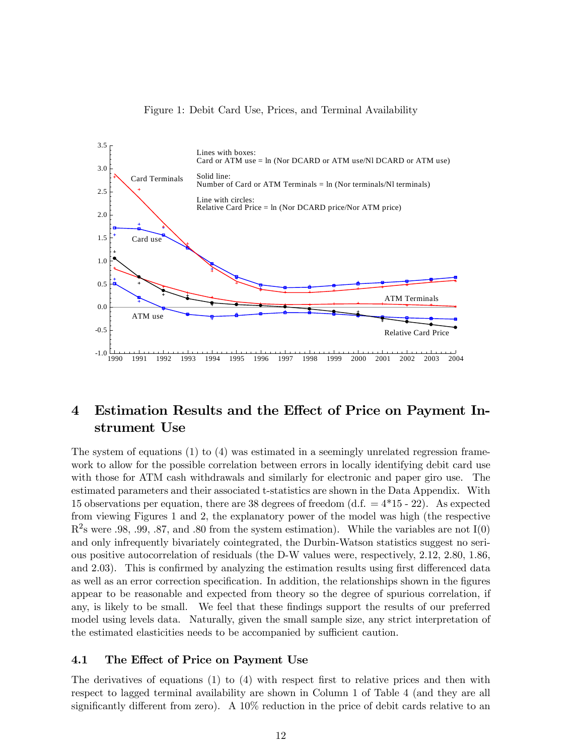



# 4 Estimation Results and the Effect of Price on Payment Instrument Use

The system of equations (1) to (4) was estimated in a seemingly unrelated regression framework to allow for the possible correlation between errors in locally identifying debit card use with those for ATM cash withdrawals and similarly for electronic and paper giro use. The estimated parameters and their associated t-statistics are shown in the Data Appendix. With 15 observations per equation, there are 38 degrees of freedom  $(d.f. = 4*15 - 22)$ . As expected from viewing Figures 1 and 2, the explanatory power of the model was high (the respective  $R^2$ s were .98, .99, .87, and .80 from the system estimation). While the variables are not I(0) and only infrequently bivariately cointegrated, the Durbin-Watson statistics suggest no serious positive autocorrelation of residuals (the D-W values were, respectively, 2.12, 2.80, 1.86, and 2.03). This is confirmed by analyzing the estimation results using first differenced data as well as an error correction specification. In addition, the relationships shown in the figures appear to be reasonable and expected from theory so the degree of spurious correlation, if any, is likely to be small. We feel that these findings support the results of our preferred model using levels data. Naturally, given the small sample size, any strict interpretation of the estimated elasticities needs to be accompanied by sufficient caution.

#### 4.1 The Effect of Price on Payment Use

The derivatives of equations (1) to (4) with respect first to relative prices and then with respect to lagged terminal availability are shown in Column 1 of Table 4 (and they are all significantly different from zero). A 10% reduction in the price of debit cards relative to an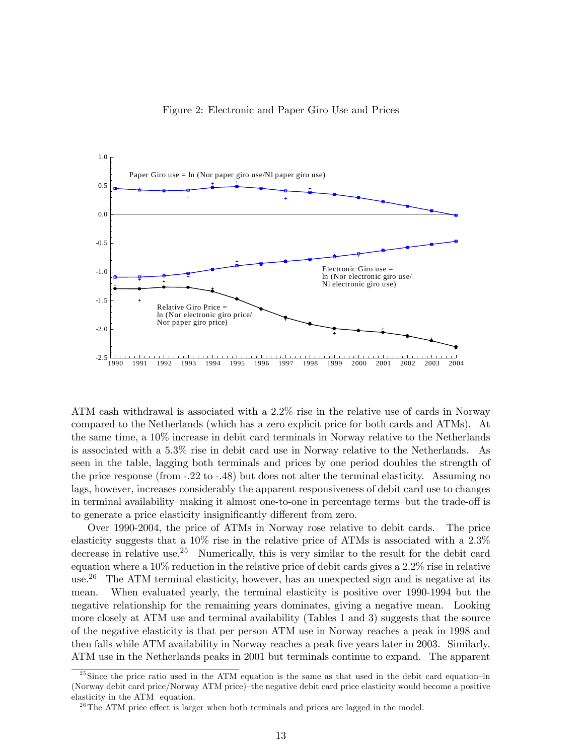

ATM cash withdrawal is associated with a 2.2% rise in the relative use of cards in Norway compared to the Netherlands (which has a zero explicit price for both cards and ATMs). At the same time, a 10% increase in debit card terminals in Norway relative to the Netherlands is associated with a 5.3% rise in debit card use in Norway relative to the Netherlands. As seen in the table, lagging both terminals and prices by one period doubles the strength of the price response (from -.22 to -.48) but does not alter the terminal elasticity. Assuming no lags, however, increases considerably the apparent responsiveness of debit card use to changes in terminal availability—making it almost one-to-one in percentage terms—but the trade-off is to generate a price elasticity insignificantly different from zero.

Over 1990-2004, the price of ATMs in Norway rose relative to debit cards. The price elasticity suggests that a 10% rise in the relative price of ATMs is associated with a 2.3% decrease in relative use.<sup>25</sup> Numerically, this is very similar to the result for the debit card equation where a 10% reduction in the relative price of debit cards gives a 2.2% rise in relative use.26 The ATM terminal elasticity, however, has an unexpected sign and is negative at its mean. When evaluated yearly, the terminal elasticity is positive over 1990-1994 but the negative relationship for the remaining years dominates, giving a negative mean. Looking more closely at ATM use and terminal availability (Tables 1 and 3) suggests that the source of the negative elasticity is that per person ATM use in Norway reaches a peak in 1998 and then falls while ATM availability in Norway reaches a peak five years later in 2003. Similarly, ATM use in the Netherlands peaks in 2001 but terminals continue to expand. The apparent

<sup>&</sup>lt;sup>25</sup> Since the price ratio used in the ATM equation is the same as that used in the debit card equation–ln (Norway debit card price/Norway ATM price)—the negative debit card price elasticity would become a positive elasticity in the ATM equation.

 $26$ The ATM price effect is larger when both terminals and prices are lagged in the model.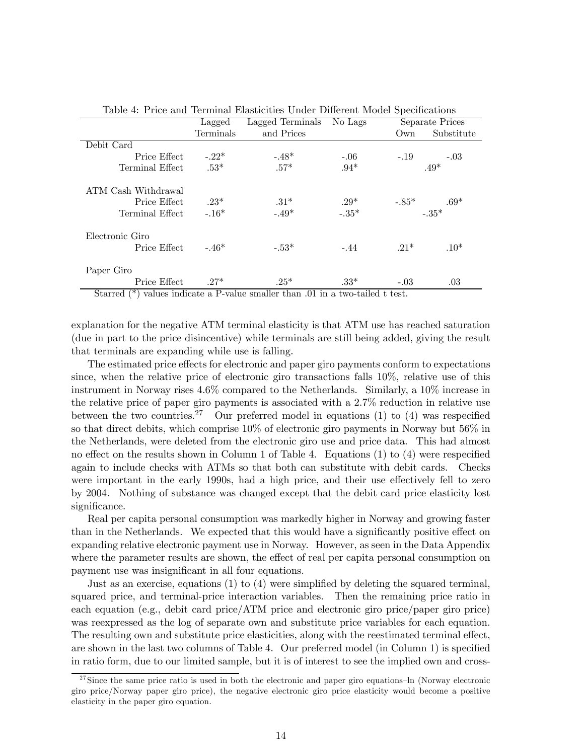| Taple 4. I flue and Terminal Liastichues Under Different Model Specifications        |                                                                     |                                               |         |        |                             |
|--------------------------------------------------------------------------------------|---------------------------------------------------------------------|-----------------------------------------------|---------|--------|-----------------------------|
|                                                                                      | Lagged                                                              | Lagged Terminals No Lags                      |         |        | Separate Prices             |
|                                                                                      | Terminals                                                           | and Prices                                    |         | Own    | Substitute                  |
| Debit Card                                                                           |                                                                     |                                               |         |        |                             |
| Price Effect                                                                         | $-.22*$                                                             | $-48*$                                        | $-.06$  | $-.19$ | $-.03$                      |
| Terminal Effect                                                                      | $.53*$                                                              | $.57*$                                        | $.94*$  |        | $.49*$                      |
| ATM Cash Withdrawal                                                                  |                                                                     |                                               |         |        |                             |
| Price Effect                                                                         | $-23*$                                                              | $.31*$                                        | $.29*$  |        |                             |
| Terminal Effect                                                                      | $-.16*$                                                             | $-.49*$                                       | $-.35*$ |        | $-0.85^*$ $-0.35^*$ $\cdot$ |
| Electronic Giro                                                                      |                                                                     |                                               |         |        |                             |
| Price Effect                                                                         | $-.46*$                                                             | $-.53*$                                       | $-.44$  | $21*$  | $.10*$                      |
| Paper Giro                                                                           |                                                                     |                                               |         |        |                             |
| Price Effect                                                                         | $.27*$                                                              | $.25*$                                        | $.33*$  | $-.03$ | .03                         |
| $\sim$<br>$\mathbf{1}$ $\langle \psi \rangle$ $\mathbf{1}$ $\mathbf{1}$ $\mathbf{1}$ | $\blacksquare$<br>$\mathbf{L}$<br><b>Contract Contract Contract</b> | $\sim$ 1 $\sim$<br>$\mathbf{11}$ $\mathbf{1}$ |         |        |                             |

Table 4: Price and Terminal Elasticities Under Different Model Specifications

Starred (\*) values indicate a P-value smaller than .01 in a two-tailed t test.

explanation for the negative ATM terminal elasticity is that ATM use has reached saturation (due in part to the price disincentive) while terminals are still being added, giving the result that terminals are expanding while use is falling.

The estimated price effects for electronic and paper giro payments conform to expectations since, when the relative price of electronic giro transactions falls 10%, relative use of this instrument in Norway rises 4.6% compared to the Netherlands. Similarly, a 10% increase in the relative price of paper giro payments is associated with a 2.7% reduction in relative use between the two countries.<sup>27</sup> Our preferred model in equations (1) to (4) was respecified so that direct debits, which comprise 10% of electronic giro payments in Norway but 56% in the Netherlands, were deleted from the electronic giro use and price data. This had almost no effect on the results shown in Column 1 of Table 4. Equations (1) to (4) were respecified again to include checks with ATMs so that both can substitute with debit cards. Checks were important in the early 1990s, had a high price, and their use effectively fell to zero by 2004. Nothing of substance was changed except that the debit card price elasticity lost significance.

Real per capita personal consumption was markedly higher in Norway and growing faster than in the Netherlands. We expected that this would have a significantly positive effect on expanding relative electronic payment use in Norway. However, as seen in the Data Appendix where the parameter results are shown, the effect of real per capita personal consumption on payment use was insignificant in all four equations.

Just as an exercise, equations (1) to (4) were simplified by deleting the squared terminal, squared price, and terminal-price interaction variables. Then the remaining price ratio in each equation (e.g., debit card price/ATM price and electronic giro price/paper giro price) was reexpressed as the log of separate own and substitute price variables for each equation. The resulting own and substitute price elasticities, along with the reestimated terminal effect, are shown in the last two columns of Table 4. Our preferred model (in Column 1) is specified in ratio form, due to our limited sample, but it is of interest to see the implied own and cross-

 $27$  Since the same price ratio is used in both the electronic and paper giro equations–ln (Norway electronic giro price/Norway paper giro price), the negative electronic giro price elasticity would become a positive elasticity in the paper giro equation.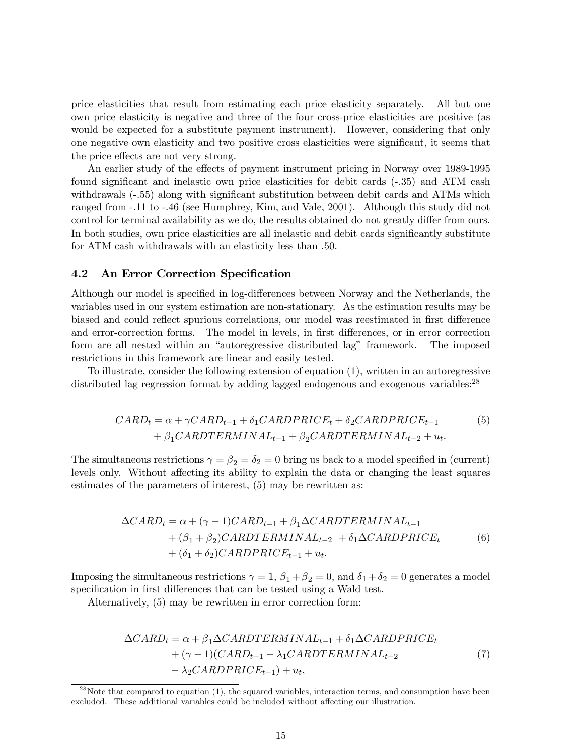price elasticities that result from estimating each price elasticity separately. All but one own price elasticity is negative and three of the four cross-price elasticities are positive (as would be expected for a substitute payment instrument). However, considering that only one negative own elasticity and two positive cross elasticities were significant, it seems that the price effects are not very strong.

An earlier study of the effects of payment instrument pricing in Norway over 1989-1995 found significant and inelastic own price elasticities for debit cards (-.35) and ATM cash withdrawals (-.55) along with significant substitution between debit cards and ATMs which ranged from -.11 to -.46 (see Humphrey, Kim, and Vale, 2001). Although this study did not control for terminal availability as we do, the results obtained do not greatly differ from ours. In both studies, own price elasticities are all inelastic and debit cards significantly substitute for ATM cash withdrawals with an elasticity less than .50.

#### 4.2 An Error Correction Specification

Although our model is specified in log-differences between Norway and the Netherlands, the variables used in our system estimation are non-stationary. As the estimation results may be biased and could reflect spurious correlations, our model was reestimated in first difference and error-correction forms. The model in levels, in first differences, or in error correction form are all nested within an "autoregressive distributed lag" framework. The imposed restrictions in this framework are linear and easily tested.

To illustrate, consider the following extension of equation (1), written in an autoregressive distributed lag regression format by adding lagged endogenous and exogenous variables:<sup>28</sup>

$$
CARD_t = \alpha + \gamma CARD_{t-1} + \delta_1 CARDPRICE_t + \delta_2 CARDPRICE_{t-1}
$$
  
+  $\beta_1 CARDTERMINAL_{t-1} + \beta_2 CARDTERMINAL_{t-2} + u_t$ . (5)

The simultaneous restrictions  $\gamma = \beta_2 = \delta_2 = 0$  bring us back to a model specified in (current) levels only. Without affecting its ability to explain the data or changing the least squares estimates of the parameters of interest, (5) may be rewritten as:

$$
\Delta CARD_t = \alpha + (\gamma - 1)CARD_{t-1} + \beta_1 \Delta CARDTERMINAL_{t-1} + (\beta_1 + \beta_2)CARDTERMINAL_{t-2} + \delta_1 \Delta CARDPRICE_t + (\delta_1 + \delta_2)CARDPRICE_{t-1} + u_t.
$$
 (6)

Imposing the simultaneous restrictions  $\gamma = 1$ ,  $\beta_1 + \beta_2 = 0$ , and  $\delta_1 + \delta_2 = 0$  generates a model specification in first differences that can be tested using a Wald test.

Alternatively, (5) may be rewritten in error correction form:

$$
\Delta CARD_t = \alpha + \beta_1 \Delta CARDTERMINAL_{t-1} + \delta_1 \Delta CARDPRICE_t + (\gamma - 1)(CARD_{t-1} - \lambda_1 CARDTERMINAL_{t-2} - \lambda_2 CARDPRICE_{t-1}) + u_t,
$$
\n(7)

 $2<sup>28</sup>$  Note that compared to equation  $(1)$ , the squared variables, interaction terms, and consumption have been excluded. These additional variables could be included without affecting our illustration.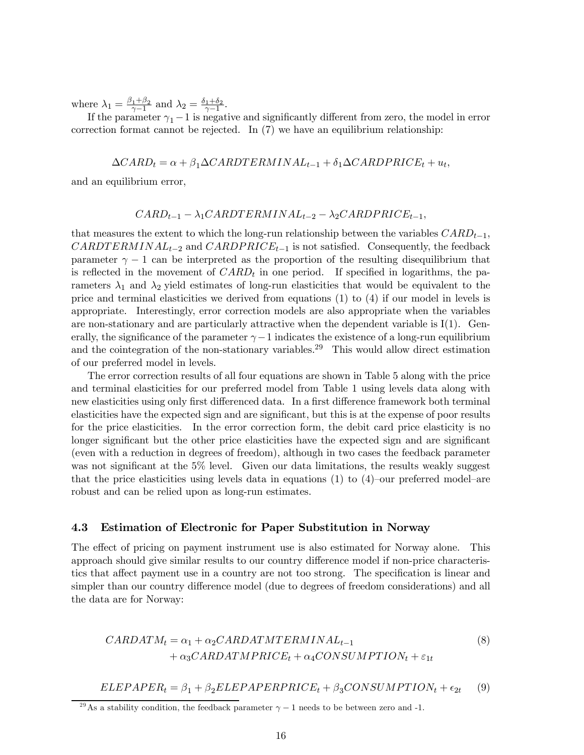where  $\lambda_1 = \frac{\beta_1 + \beta_2}{\gamma - 1}$  and  $\lambda_2 = \frac{\delta_1 + \delta_2}{\gamma - 1}$ .

If the parameter  $\gamma_1 - 1$  is negative and significantly different from zero, the model in error correction format cannot be rejected. In  $(7)$  we have an equilibrium relationship:

$$
\Delta CARD_t = \alpha + \beta_1 \Delta CARDTERMINAL_{t-1} + \delta_1 \Delta CARDPRICE_t + u_t,
$$

and an equilibrium error,

$$
CARD_{t-1} - \lambda_1 CARDTERMINAL_{t-2} - \lambda_2 CARDPRICE_{t-1},
$$

that measures the extent to which the long-run relationship between the variables  $CARD_{t-1}$ ,  $CARDTERMINAL_{t-2}$  and  $CARDPRICE_{t-1}$  is not satisfied. Consequently, the feedback parameter  $\gamma - 1$  can be interpreted as the proportion of the resulting disequilibrium that is reflected in the movement of  $CARD_t$  in one period. If specified in logarithms, the parameters  $\lambda_1$  and  $\lambda_2$  yield estimates of long-run elasticities that would be equivalent to the price and terminal elasticities we derived from equations (1) to (4) if our model in levels is appropriate. Interestingly, error correction models are also appropriate when the variables are non-stationary and are particularly attractive when the dependent variable is  $I(1)$ . Generally, the significance of the parameter  $\gamma-1$  indicates the existence of a long-run equilibrium and the cointegration of the non-stationary variables.<sup>29</sup> This would allow direct estimation of our preferred model in levels.

The error correction results of all four equations are shown in Table 5 along with the price and terminal elasticities for our preferred model from Table 1 using levels data along with new elasticities using only first differenced data. In a first difference framework both terminal elasticities have the expected sign and are significant, but this is at the expense of poor results for the price elasticities. In the error correction form, the debit card price elasticity is no longer significant but the other price elasticities have the expected sign and are significant (even with a reduction in degrees of freedom), although in two cases the feedback parameter was not significant at the 5% level. Given our data limitations, the results weakly suggest that the price elasticities using levels data in equations  $(1)$  to  $(4)$ -our preferred model-are robust and can be relied upon as long-run estimates.

#### 4.3 Estimation of Electronic for Paper Substitution in Norway

The effect of pricing on payment instrument use is also estimated for Norway alone. This approach should give similar results to our country difference model if non-price characteristics that affect payment use in a country are not too strong. The specification is linear and simpler than our country difference model (due to degrees of freedom considerations) and all the data are for Norway:

$$
CARDATM_t = \alpha_1 + \alpha_2 CARDATMTERMINAL_{t-1}
$$
  
+ 
$$
\alpha_3 CARDATMPRICE_t + \alpha_4 CONSUMPTION_t + \varepsilon_{1t}
$$
 (8)

 $ELEPAPER<sub>t</sub> = \beta_1 + \beta_2 ELEPAPERPRICE<sub>t</sub> + \beta_3 CONSUMPTION<sub>t</sub> + \epsilon_{2t}$  (9)

<sup>&</sup>lt;sup>29</sup>As a stability condition, the feedback parameter  $\gamma - 1$  needs to be between zero and -1.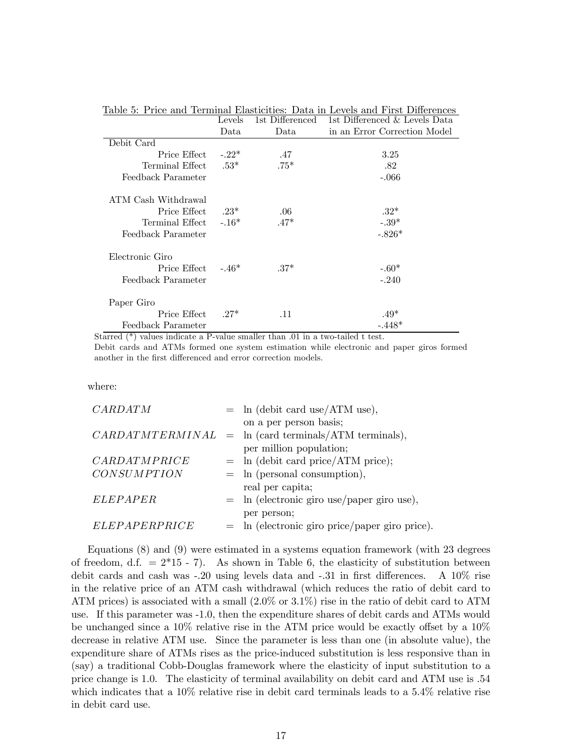|                      | Levels  | 1st Differenced | 1st Differenced & Levels Data |
|----------------------|---------|-----------------|-------------------------------|
|                      | Data    | Data            | in an Error Correction Model  |
| Debit Card           |         |                 |                               |
| Price Effect         | $-.22*$ | .47             | 3.25                          |
| Terminal Effect      | $.53*$  | $.75*$          | .82                           |
| Feedback Parameter   |         |                 | $-.066$                       |
| ATM Cash Withdrawal  |         |                 |                               |
| Price Effect         | $23*$   | .06             | $.32*$                        |
| Terminal Effect      | $-.16*$ | $.47*$          | $-.39*$                       |
| Feedback Parameter   |         |                 | $-.826*$                      |
| Electronic Giro      |         |                 |                               |
| Price Effect $-.46*$ |         | $.37*$          | $-.60*$                       |
| Feedback Parameter   |         |                 | $-.240$                       |
| Paper Giro           |         |                 |                               |
| Price Effect         | $27*$   | .11             | $.49*$                        |
| Feedback Parameter   |         |                 | $-.448*$                      |

Table 5: Price and Terminal Elasticities: Data in Levels and First Differences

Starred (\*) values indicate a P-value smaller than .01 in a two-tailed t test.

Debit cards and ATMs formed one system estimation while electronic and paper giros formed another in the first differenced and error correction models.

where:

| CARDATM            | $=$ ln (debit card use/ATM use),                       |
|--------------------|--------------------------------------------------------|
|                    | on a per person basis;                                 |
|                    | $CARDATMTERMINAL$ = ln (card terminals/ATM terminals), |
|                    | per million population;                                |
| CARDATMPRICE       | $=$ ln (debit card price/ATM price);                   |
| <b>CONSUMPTION</b> | $=$ ln (personal consumption),                         |
|                    | real per capita;                                       |
| <b>ELEPAPER</b>    | $=$ ln (electronic giro use/paper giro use),           |
|                    | per person;                                            |
| ELEPAPERPRICE      | $=$ ln (electronic giro price/paper giro price).       |

Equations (8) and (9) were estimated in a systems equation framework (with 23 degrees of freedom, d.f.  $= 2*15 - 7$ . As shown in Table 6, the elasticity of substitution between debit cards and cash was -.20 using levels data and -.31 in first differences. A 10% rise in the relative price of an ATM cash withdrawal (which reduces the ratio of debit card to ATM prices) is associated with a small (2.0% or 3.1%) rise in the ratio of debit card to ATM use. If this parameter was -1.0, then the expenditure shares of debit cards and ATMs would be unchanged since a 10% relative rise in the ATM price would be exactly offset by a 10% decrease in relative ATM use. Since the parameter is less than one (in absolute value), the expenditure share of ATMs rises as the price-induced substitution is less responsive than in (say) a traditional Cobb-Douglas framework where the elasticity of input substitution to a price change is 1.0. The elasticity of terminal availability on debit card and ATM use is .54 which indicates that a  $10\%$  relative rise in debit card terminals leads to a 5.4% relative rise in debit card use.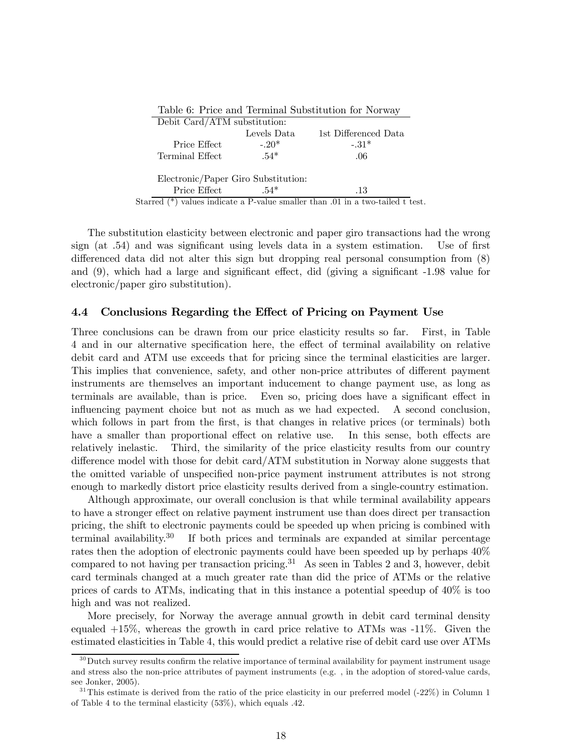| Table 6: Price and Terminal Substitution for Norway |             |                                                                                  |  |  |  |
|-----------------------------------------------------|-------------|----------------------------------------------------------------------------------|--|--|--|
| Debit Card/ATM substitution:                        |             |                                                                                  |  |  |  |
|                                                     | Levels Data | 1st Differenced Data                                                             |  |  |  |
| Price Effect                                        | $-20*$      | $-.31*$                                                                          |  |  |  |
| Terminal Effect                                     | $.54*$      | .06                                                                              |  |  |  |
| Electronic/Paper Giro Substitution:                 |             |                                                                                  |  |  |  |
| Price Effect                                        | $.54*$      | .13                                                                              |  |  |  |
|                                                     |             | Starred $(*)$ values indicate a P-value smaller than .01 in a two-tailed t test. |  |  |  |

The substitution elasticity between electronic and paper giro transactions had the wrong sign (at .54) and was significant using levels data in a system estimation. Use of first differenced data did not alter this sign but dropping real personal consumption from (8) and (9), which had a large and significant effect, did (giving a significant -1.98 value for electronic/paper giro substitution).

#### 4.4 Conclusions Regarding the Effect of Pricing on Payment Use

Three conclusions can be drawn from our price elasticity results so far. First, in Table 4 and in our alternative specification here, the effect of terminal availability on relative debit card and ATM use exceeds that for pricing since the terminal elasticities are larger. This implies that convenience, safety, and other non-price attributes of different payment instruments are themselves an important inducement to change payment use, as long as terminals are available, than is price. Even so, pricing does have a significant effect in influencing payment choice but not as much as we had expected. A second conclusion, which follows in part from the first, is that changes in relative prices (or terminals) both have a smaller than proportional effect on relative use. In this sense, both effects are relatively inelastic. Third, the similarity of the price elasticity results from our country difference model with those for debit card/ATM substitution in Norway alone suggests that the omitted variable of unspecified non-price payment instrument attributes is not strong enough to markedly distort price elasticity results derived from a single-country estimation.

Although approximate, our overall conclusion is that while terminal availability appears to have a stronger effect on relative payment instrument use than does direct per transaction pricing, the shift to electronic payments could be speeded up when pricing is combined with terminal availability.<sup>30</sup> If both prices and terminals are expanded at similar percentage rates then the adoption of electronic payments could have been speeded up by perhaps 40% compared to not having per transaction pricing.31 As seen in Tables 2 and 3, however, debit card terminals changed at a much greater rate than did the price of ATMs or the relative prices of cards to ATMs, indicating that in this instance a potential speedup of 40% is too high and was not realized.

More precisely, for Norway the average annual growth in debit card terminal density equaled  $+15\%$ , whereas the growth in card price relative to ATMs was  $-11\%$ . Given the estimated elasticities in Table 4, this would predict a relative rise of debit card use over ATMs

 $30$ Dutch survey results confirm the relative importance of terminal availability for payment instrument usage and stress also the non-price attributes of payment instruments (e.g. , in the adoption of stored-value cards, see Jonker, 2005).

 $31$ This estimate is derived from the ratio of the price elasticity in our preferred model (-22%) in Column 1 of Table 4 to the terminal elasticity (53%), which equals .42.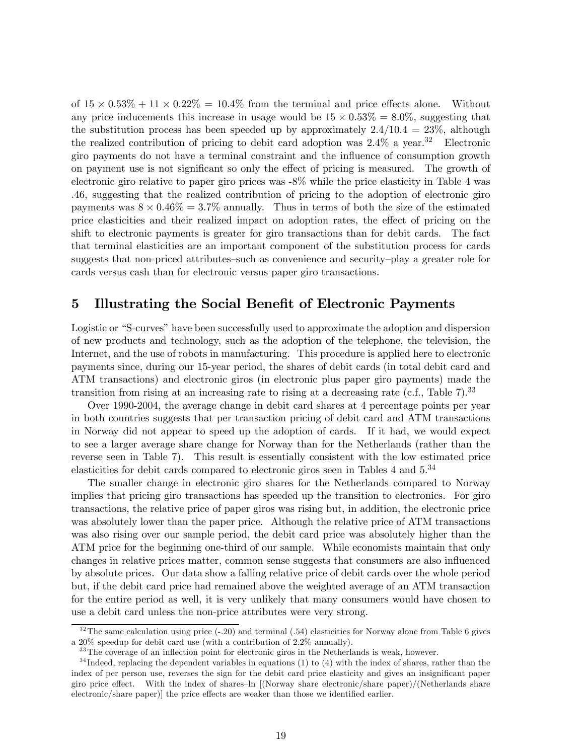of  $15 \times 0.53\% + 11 \times 0.22\% = 10.4\%$  from the terminal and price effects alone. Without any price inducements this increase in usage would be  $15 \times 0.53\% = 8.0\%$ , suggesting that the substitution process has been speeded up by approximately  $2.4/10.4 = 23\%$ , although the realized contribution of pricing to debit card adoption was  $2.4\%$  a year.<sup>32</sup> Electronic giro payments do not have a terminal constraint and the influence of consumption growth on payment use is not significant so only the effect of pricing is measured. The growth of electronic giro relative to paper giro prices was -8% while the price elasticity in Table 4 was .46, suggesting that the realized contribution of pricing to the adoption of electronic giro payments was  $8 \times 0.46\% = 3.7\%$  annually. Thus in terms of both the size of the estimated price elasticities and their realized impact on adoption rates, the effect of pricing on the shift to electronic payments is greater for giro transactions than for debit cards. The fact that terminal elasticities are an important component of the substitution process for cards suggests that non-priced attributes—such as convenience and security—play a greater role for cards versus cash than for electronic versus paper giro transactions.

# 5 Illustrating the Social Benefit of Electronic Payments

Logistic or "S-curves" have been successfully used to approximate the adoption and dispersion of new products and technology, such as the adoption of the telephone, the television, the Internet, and the use of robots in manufacturing. This procedure is applied here to electronic payments since, during our 15-year period, the shares of debit cards (in total debit card and ATM transactions) and electronic giros (in electronic plus paper giro payments) made the transition from rising at an increasing rate to rising at a decreasing rate (c.f., Table  $7$ ).<sup>33</sup>

Over 1990-2004, the average change in debit card shares at 4 percentage points per year in both countries suggests that per transaction pricing of debit card and ATM transactions in Norway did not appear to speed up the adoption of cards. If it had, we would expect to see a larger average share change for Norway than for the Netherlands (rather than the reverse seen in Table 7). This result is essentially consistent with the low estimated price elasticities for debit cards compared to electronic giros seen in Tables 4 and 5.<sup>34</sup>

The smaller change in electronic giro shares for the Netherlands compared to Norway implies that pricing giro transactions has speeded up the transition to electronics. For giro transactions, the relative price of paper giros was rising but, in addition, the electronic price was absolutely lower than the paper price. Although the relative price of ATM transactions was also rising over our sample period, the debit card price was absolutely higher than the ATM price for the beginning one-third of our sample. While economists maintain that only changes in relative prices matter, common sense suggests that consumers are also influenced by absolute prices. Our data show a falling relative price of debit cards over the whole period but, if the debit card price had remained above the weighted average of an ATM transaction for the entire period as well, it is very unlikely that many consumers would have chosen to use a debit card unless the non-price attributes were very strong.

 $32$  The same calculation using price  $(-20)$  and terminal  $(-54)$  elasticities for Norway alone from Table 6 gives a 20% speedup for debit card use (with a contribution of 2.2% annually).

<sup>&</sup>lt;sup>33</sup> The coverage of an inflection point for electronic giros in the Netherlands is weak, however.

 $34$  Indeed, replacing the dependent variables in equations (1) to (4) with the index of shares, rather than the index of per person use, reverses the sign for the debit card price elasticity and gives an insignificant paper giro price effect. With the index of shares—ln [(Norway share electronic/share paper)/(Netherlands share electronic/share paper)] the price effects are weaker than those we identified earlier.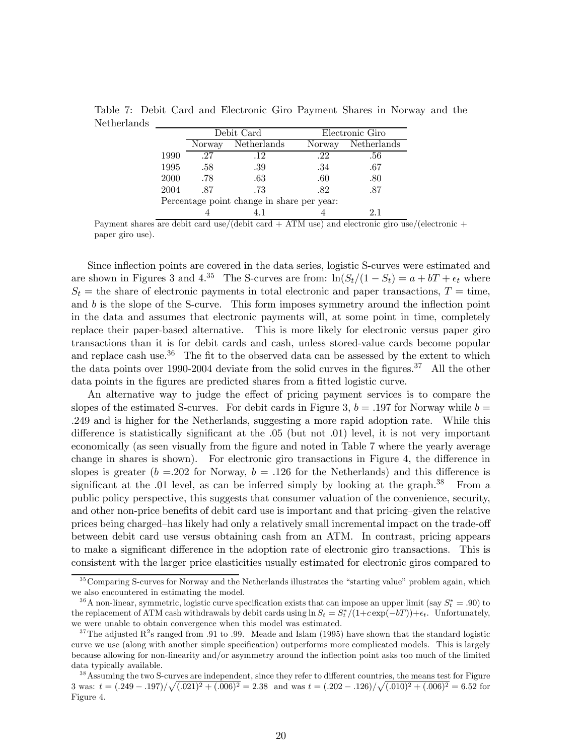Table 7: Debit Card and Electronic Giro Payment Shares in Norway and the Netherlands

|                                            |        | Debit Card  |        | Electronic Giro |  |  |
|--------------------------------------------|--------|-------------|--------|-----------------|--|--|
|                                            | Norway | Netherlands | Norway | Netherlands     |  |  |
| 1990                                       | -27    | .12         | .22    | .56             |  |  |
| 1995                                       | .58    | .39         | .34    | .67             |  |  |
| 2000                                       | .78    | .63         | .60    | .80             |  |  |
| 2004                                       | .87    | .73         | .82    | .87             |  |  |
| Percentage point change in share per year: |        |             |        |                 |  |  |
|                                            |        |             |        |                 |  |  |

Payment shares are debit card use/(debit card  $+$  ATM use) and electronic giro use/(electronic  $+$ paper giro use).

Since inflection points are covered in the data series, logistic S-curves were estimated and are shown in Figures 3 and 4.<sup>35</sup> The S-curves are from:  $\ln(S_t/(1-S_t)) = a + bT + \epsilon_t$  where  $S_t$  = the share of electronic payments in total electronic and paper transactions,  $T =$  time, and  $b$  is the slope of the S-curve. This form imposes symmetry around the inflection point in the data and assumes that electronic payments will, at some point in time, completely replace their paper-based alternative. This is more likely for electronic versus paper giro transactions than it is for debit cards and cash, unless stored-value cards become popular and replace cash use.<sup>36</sup> The fit to the observed data can be assessed by the extent to which the data points over 1990-2004 deviate from the solid curves in the figures.<sup>37</sup> All the other data points in the figures are predicted shares from a fitted logistic curve.

An alternative way to judge the effect of pricing payment services is to compare the slopes of the estimated S-curves. For debit cards in Figure 3,  $b = .197$  for Norway while  $b =$ .249 and is higher for the Netherlands, suggesting a more rapid adoption rate. While this difference is statistically significant at the .05 (but not .01) level, it is not very important economically (as seen visually from the figure and noted in Table 7 where the yearly average change in shares is shown). For electronic giro transactions in Figure 4, the difference in slopes is greater ( $b = 202$  for Norway,  $b = .126$  for the Netherlands) and this difference is significant at the .01 level, as can be inferred simply by looking at the graph. $38$  From a public policy perspective, this suggests that consumer valuation of the convenience, security, and other non-price benefits of debit card use is important and that pricing—given the relative prices being charged—has likely had only a relatively small incremental impact on the trade-off between debit card use versus obtaining cash from an ATM. In contrast, pricing appears to make a significant difference in the adoption rate of electronic giro transactions. This is consistent with the larger price elasticities usually estimated for electronic giros compared to

<sup>&</sup>lt;sup>35</sup> Comparing S-curves for Norway and the Netherlands illustrates the "starting value" problem again, which we also encountered in estimating the model.

<sup>&</sup>lt;sup>36</sup> A non-linear, symmetric, logistic curve specification exists that can impose an upper limit (say  $S_t^* = .90$ ) to the replacement of ATM cash withdrawals by debit cards using  $\ln S_t = S_t^*/(1+c \exp(-bT)) + \epsilon_t$ . Unfortunately, we were unable to obtain convergence when this model was estimated.

<sup>&</sup>lt;sup>37</sup>The adjusted  $R^2$ s ranged from .91 to .99. Meade and Islam (1995) have shown that the standard logistic curve we use (along with another simple specification) outperforms more complicated models. This is largely because allowing for non-linearity and/or asymmetry around the inflection point asks too much of the limited data typically available.

<sup>&</sup>lt;sup>38</sup> Assuming the two S-curves are independent, since they refer to different countries, the means test for Figure 3 was:  $t = (0.249 - 0.197)/\sqrt{(0.021)^2 + (0.006)^2} = 2.38$  and was  $t = (0.202 - 0.126)/\sqrt{(0.010)^2 + (0.006)^2} = 6.52$  for Figure 4.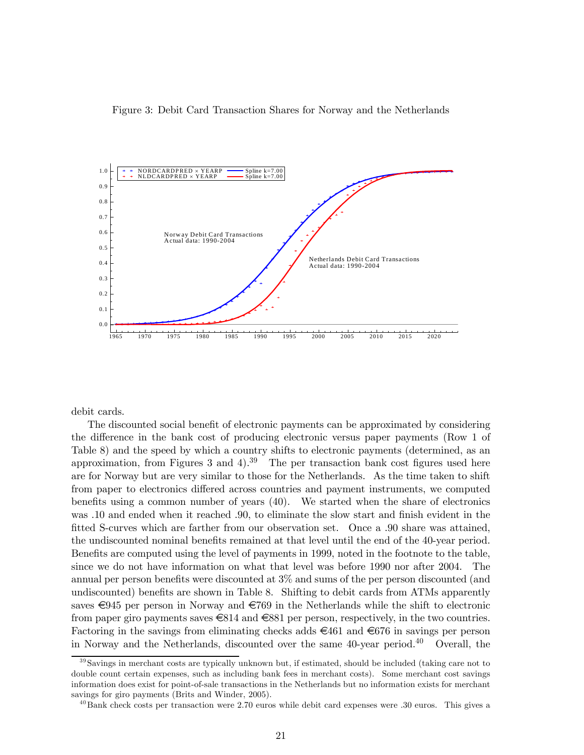



debit cards.

The discounted social benefit of electronic payments can be approximated by considering the difference in the bank cost of producing electronic versus paper payments (Row 1 of Table 8) and the speed by which a country shifts to electronic payments (determined, as an approximation, from Figures 3 and 4).<sup>39</sup> The per transaction bank cost figures used here are for Norway but are very similar to those for the Netherlands. As the time taken to shift from paper to electronics differed across countries and payment instruments, we computed benefits using a common number of years (40). We started when the share of electronics was .10 and ended when it reached .90, to eliminate the slow start and finish evident in the fitted S-curves which are farther from our observation set. Once a .90 share was attained, the undiscounted nominal benefits remained at that level until the end of the 40-year period. Benefits are computed using the level of payments in 1999, noted in the footnote to the table, since we do not have information on what that level was before 1990 nor after 2004. The annual per person benefits were discounted at 3% and sums of the per person discounted (and undiscounted) benefits are shown in Table 8. Shifting to debit cards from ATMs apparently saves  $\epsilon$ 945 per person in Norway and  $\epsilon$ 769 in the Netherlands while the shift to electronic from paper giro payments saves  $\in$ 814 and  $\in$ 881 per person, respectively, in the two countries. Factoring in the savings from eliminating checks adds  $\epsilon$ 461 and  $\epsilon$ 676 in savings per person in Norway and the Netherlands, discounted over the same  $40$ -year period.<sup>40</sup> Overall, the

 $39$ Savings in merchant costs are typically unknown but, if estimated, should be included (taking care not to double count certain expenses, such as including bank fees in merchant costs). Some merchant cost savings information does exist for point-of-sale transactions in the Netherlands but no information exists for merchant savings for giro payments (Brits and Winder, 2005).

 $^{40}$ Bank check costs per transaction were 2.70 euros while debit card expenses were .30 euros. This gives a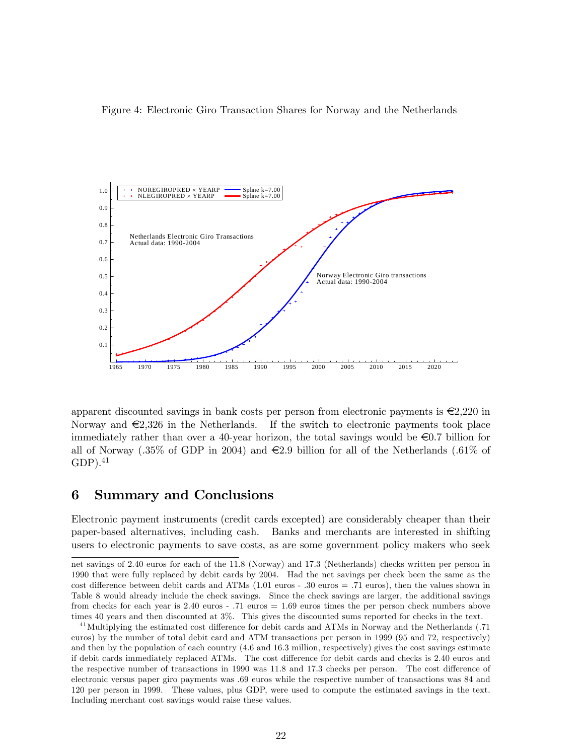



apparent discounted savings in bank costs per person from electronic payments is  $\epsilon$ 2,220 in Norway and  $\epsilon$ 2,326 in the Netherlands. If the switch to electronic payments took place immediately rather than over a 40-year horizon, the total savings would be  $\epsilon$ 0.7 billion for all of Norway (.35% of GDP in 2004) and  $\epsilon$ 2.9 billion for all of the Netherlands (.61% of  $GDP$ ).<sup>41</sup>

## 6 Summary and Conclusions

Electronic payment instruments (credit cards excepted) are considerably cheaper than their paper-based alternatives, including cash. Banks and merchants are interested in shifting users to electronic payments to save costs, as are some government policy makers who seek

net savings of 2.40 euros for each of the 11.8 (Norway) and 17.3 (Netherlands) checks written per person in 1990 that were fully replaced by debit cards by 2004. Had the net savings per check been the same as the cost difference between debit cards and ATMs (1.01 euros - .30 euros = .71 euros), then the values shown in Table 8 would already include the check savings. Since the check savings are larger, the additional savings from checks for each year is 2.40 euros - .71 euros = 1.69 euros times the per person check numbers above times 40 years and then discounted at 3%. This gives the discounted sums reported for checks in the text.

 $^{41}$ Multiplying the estimated cost difference for debit cards and ATMs in Norway and the Netherlands (.71) euros) by the number of total debit card and ATM transactions per person in 1999 (95 and 72, respectively) and then by the population of each country (4.6 and 16.3 million, respectively) gives the cost savings estimate if debit cards immediately replaced ATMs. The cost difference for debit cards and checks is 2.40 euros and the respective number of transactions in 1990 was 11.8 and 17.3 checks per person. The cost difference of electronic versus paper giro payments was .69 euros while the respective number of transactions was 84 and 120 per person in 1999. These values, plus GDP, were used to compute the estimated savings in the text. Including merchant cost savings would raise these values.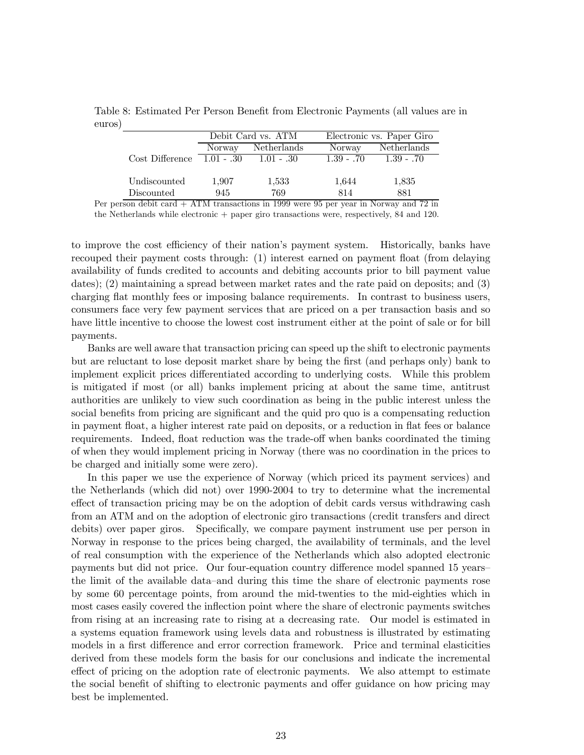Table 8: Estimated Per Person Benefit from Electronic Payments (all values are in euros)

|                                |        | Debit Card vs. ATM |               | Electronic vs. Paper Giro |  |  |
|--------------------------------|--------|--------------------|---------------|---------------------------|--|--|
|                                | Norway | Netherlands        | <b>Norway</b> | Netherlands               |  |  |
| $Cost$ Difference $1.01 - .30$ |        | $1.01 - .30$       | $1.39 - .70$  | $1.39 - .70$              |  |  |
| Undiscounted                   | 1,907  | 1,533              | 1,644         | 1,835                     |  |  |
| Discounted                     | 945    | 769                | 814           | 881                       |  |  |

Per person debit card + ATM transactions in 1999 were 95 per year in Norway and 72 in the Netherlands while electronic + paper giro transactions were, respectively, 84 and 120.

to improve the cost efficiency of their nation's payment system. Historically, banks have recouped their payment costs through: (1) interest earned on payment float (from delaying availability of funds credited to accounts and debiting accounts prior to bill payment value dates); (2) maintaining a spread between market rates and the rate paid on deposits; and (3) charging flat monthly fees or imposing balance requirements. In contrast to business users, consumers face very few payment services that are priced on a per transaction basis and so have little incentive to choose the lowest cost instrument either at the point of sale or for bill payments.

Banks are well aware that transaction pricing can speed up the shift to electronic payments but are reluctant to lose deposit market share by being the first (and perhaps only) bank to implement explicit prices differentiated according to underlying costs. While this problem is mitigated if most (or all) banks implement pricing at about the same time, antitrust authorities are unlikely to view such coordination as being in the public interest unless the social benefits from pricing are significant and the quid pro quo is a compensating reduction in payment float, a higher interest rate paid on deposits, or a reduction in flat fees or balance requirements. Indeed, float reduction was the trade-off when banks coordinated the timing of when they would implement pricing in Norway (there was no coordination in the prices to be charged and initially some were zero).

In this paper we use the experience of Norway (which priced its payment services) and the Netherlands (which did not) over 1990-2004 to try to determine what the incremental effect of transaction pricing may be on the adoption of debit cards versus withdrawing cash from an ATM and on the adoption of electronic giro transactions (credit transfers and direct debits) over paper giros. Specifically, we compare payment instrument use per person in Norway in response to the prices being charged, the availability of terminals, and the level of real consumption with the experience of the Netherlands which also adopted electronic payments but did not price. Our four-equation country difference model spanned 15 years the limit of the available data—and during this time the share of electronic payments rose by some 60 percentage points, from around the mid-twenties to the mid-eighties which in most cases easily covered the inflection point where the share of electronic payments switches from rising at an increasing rate to rising at a decreasing rate. Our model is estimated in a systems equation framework using levels data and robustness is illustrated by estimating models in a first difference and error correction framework. Price and terminal elasticities derived from these models form the basis for our conclusions and indicate the incremental effect of pricing on the adoption rate of electronic payments. We also attempt to estimate the social benefit of shifting to electronic payments and offer guidance on how pricing may best be implemented.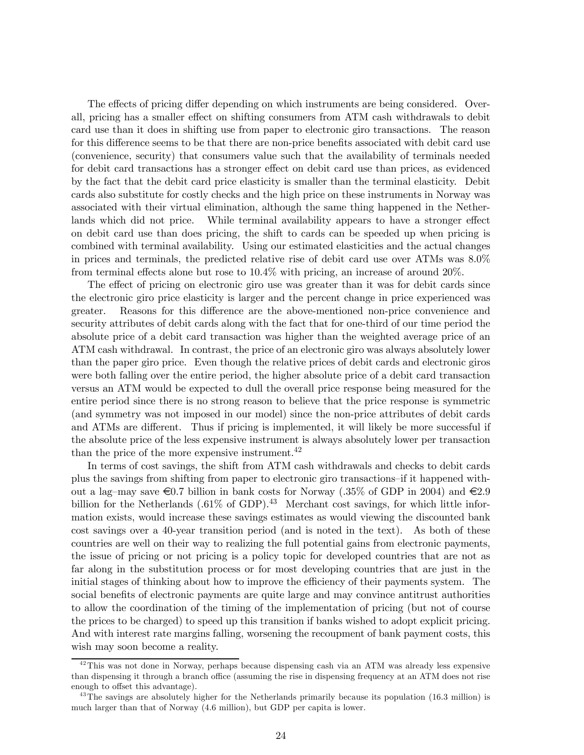The effects of pricing differ depending on which instruments are being considered. Overall, pricing has a smaller effect on shifting consumers from ATM cash withdrawals to debit card use than it does in shifting use from paper to electronic giro transactions. The reason for this difference seems to be that there are non-price benefits associated with debit card use (convenience, security) that consumers value such that the availability of terminals needed for debit card transactions has a stronger effect on debit card use than prices, as evidenced by the fact that the debit card price elasticity is smaller than the terminal elasticity. Debit cards also substitute for costly checks and the high price on these instruments in Norway was associated with their virtual elimination, although the same thing happened in the Netherlands which did not price. While terminal availability appears to have a stronger effect on debit card use than does pricing, the shift to cards can be speeded up when pricing is combined with terminal availability. Using our estimated elasticities and the actual changes in prices and terminals, the predicted relative rise of debit card use over ATMs was 8.0% from terminal effects alone but rose to 10.4% with pricing, an increase of around 20%.

The effect of pricing on electronic giro use was greater than it was for debit cards since the electronic giro price elasticity is larger and the percent change in price experienced was greater. Reasons for this difference are the above-mentioned non-price convenience and security attributes of debit cards along with the fact that for one-third of our time period the absolute price of a debit card transaction was higher than the weighted average price of an ATM cash withdrawal. In contrast, the price of an electronic giro was always absolutely lower than the paper giro price. Even though the relative prices of debit cards and electronic giros were both falling over the entire period, the higher absolute price of a debit card transaction versus an ATM would be expected to dull the overall price response being measured for the entire period since there is no strong reason to believe that the price response is symmetric (and symmetry was not imposed in our model) since the non-price attributes of debit cards and ATMs are different. Thus if pricing is implemented, it will likely be more successful if the absolute price of the less expensive instrument is always absolutely lower per transaction than the price of the more expensive instrument.<sup>42</sup>

In terms of cost savings, the shift from ATM cash withdrawals and checks to debit cards plus the savings from shifting from paper to electronic giro transactions—if it happened without a lag–may save  $\epsilon$ 0.7 billion in bank costs for Norway (.35% of GDP in 2004) and  $\epsilon$ 2.9 billion for the Netherlands  $(.61\% \text{ of GDP})$ .<sup>43</sup> Merchant cost savings, for which little information exists, would increase these savings estimates as would viewing the discounted bank cost savings over a 40-year transition period (and is noted in the text). As both of these countries are well on their way to realizing the full potential gains from electronic payments, the issue of pricing or not pricing is a policy topic for developed countries that are not as far along in the substitution process or for most developing countries that are just in the initial stages of thinking about how to improve the efficiency of their payments system. The social benefits of electronic payments are quite large and may convince antitrust authorities to allow the coordination of the timing of the implementation of pricing (but not of course the prices to be charged) to speed up this transition if banks wished to adopt explicit pricing. And with interest rate margins falling, worsening the recoupment of bank payment costs, this wish may soon become a reality.

 $42$ This was not done in Norway, perhaps because dispensing cash via an ATM was already less expensive than dispensing it through a branch office (assuming the rise in dispensing frequency at an ATM does not rise enough to offset this advantage).

 $^{43}$ The savings are absolutely higher for the Netherlands primarily because its population (16.3 million) is much larger than that of Norway (4.6 million), but GDP per capita is lower.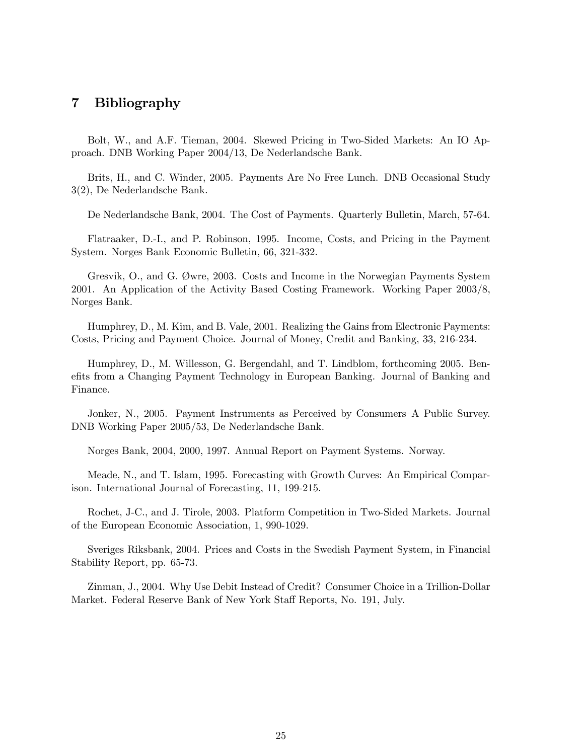## 7 Bibliography

Bolt, W., and A.F. Tieman, 2004. Skewed Pricing in Two-Sided Markets: An IO Approach. DNB Working Paper 2004/13, De Nederlandsche Bank.

Brits, H., and C. Winder, 2005. Payments Are No Free Lunch. DNB Occasional Study 3(2), De Nederlandsche Bank.

De Nederlandsche Bank, 2004. The Cost of Payments. Quarterly Bulletin, March, 57-64.

Flatraaker, D.-I., and P. Robinson, 1995. Income, Costs, and Pricing in the Payment System. Norges Bank Economic Bulletin, 66, 321-332.

Gresvik, O., and G. Øwre, 2003. Costs and Income in the Norwegian Payments System 2001. An Application of the Activity Based Costing Framework. Working Paper 2003/8, Norges Bank.

Humphrey, D., M. Kim, and B. Vale, 2001. Realizing the Gains from Electronic Payments: Costs, Pricing and Payment Choice. Journal of Money, Credit and Banking, 33, 216-234.

Humphrey, D., M. Willesson, G. Bergendahl, and T. Lindblom, forthcoming 2005. Benefits from a Changing Payment Technology in European Banking. Journal of Banking and Finance.

Jonker, N., 2005. Payment Instruments as Perceived by Consumers—A Public Survey. DNB Working Paper 2005/53, De Nederlandsche Bank.

Norges Bank, 2004, 2000, 1997. Annual Report on Payment Systems. Norway.

Meade, N., and T. Islam, 1995. Forecasting with Growth Curves: An Empirical Comparison. International Journal of Forecasting, 11, 199-215.

Rochet, J-C., and J. Tirole, 2003. Platform Competition in Two-Sided Markets. Journal of the European Economic Association, 1, 990-1029.

Sveriges Riksbank, 2004. Prices and Costs in the Swedish Payment System, in Financial Stability Report, pp. 65-73.

Zinman, J., 2004. Why Use Debit Instead of Credit? Consumer Choice in a Trillion-Dollar Market. Federal Reserve Bank of New York Staff Reports, No. 191, July.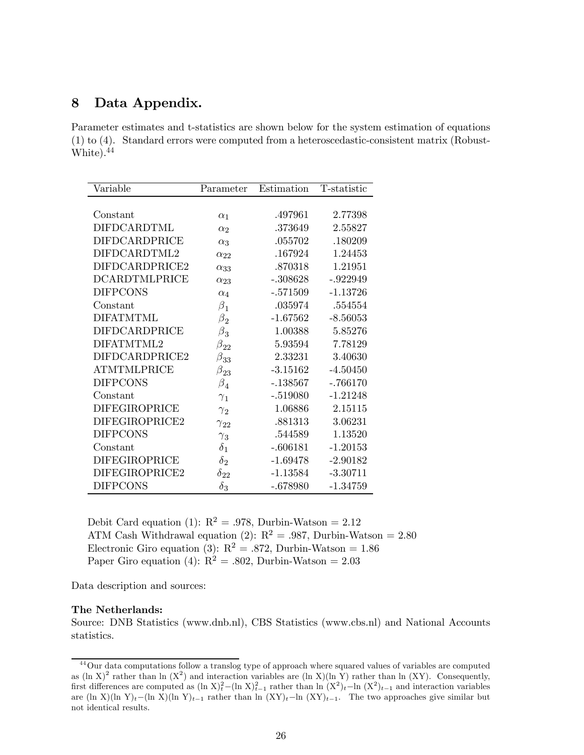# 8 Data Appendix.

Parameter estimates and t-statistics are shown below for the system estimation of equations (1) to (4). Standard errors were computed from a heteroscedastic-consistent matrix (Robust-White).44

| Variable             | Parameter     | Estimation | T-statistic |
|----------------------|---------------|------------|-------------|
|                      |               |            |             |
| Constant             | $\alpha_1$    | .497961    | 2.77398     |
| DIFDCARDTML          | $\alpha$ ?    | .373649    | 2.55827     |
| <b>DIFDCARDPRICE</b> | $\alpha_3$    | .055702    | .180209     |
| DIFDCARDTML2         | $\alpha_{22}$ | .167924    | 1.24453     |
| DIFDCARDPRICE2       | $\alpha_{33}$ | .870318    | 1.21951     |
| <b>DCARDTMLPRICE</b> | $\alpha_{23}$ | $-.308628$ | $-.922949$  |
| <b>DIFPCONS</b>      | $\alpha_4$    | $-.571509$ | $-1.13726$  |
| Constant             | $\beta_1$     | .035974    | .554554     |
| <b>DIFATMTML</b>     | $\beta_2$     | $-1.67562$ | $-8.56053$  |
| <b>DIFDCARDPRICE</b> | $\beta_3$     | 1.00388    | 5.85276     |
| DIFATMTML2           | $\beta_{22}$  | 5.93594    | 7.78129     |
| DIFDCARDPRICE2       | $\beta_{33}$  | 2.33231    | 3.40630     |
| <b>ATMTMLPRICE</b>   | $\beta_{23}$  | $-3.15162$ | $-4.50450$  |
| <b>DIFPCONS</b>      | $\beta_4^-$   | $-138567$  | $-.766170$  |
| Constant             | $\gamma_1$    | $-.519080$ | $-1.21248$  |
| <b>DIFEGIROPRICE</b> | $\gamma_2$    | 1.06886    | 2.15115     |
| DIFEGIROPRICE2       | $\gamma_{22}$ | .881313    | 3.06231     |
| <b>DIFPCONS</b>      | $\gamma_3$    | .544589    | 1.13520     |
| Constant             | $\delta_1$    | $-.606181$ | $-1.20153$  |
| <b>DIFEGIROPRICE</b> | $\delta_2$    | $-1.69478$ | $-2.90182$  |
| DIFEGIROPRICE2       | $\delta_{22}$ | $-1.13584$ | $-3.30711$  |
| <b>DIFPCONS</b>      | $\delta_3$    | $-.678980$ | $-1.34759$  |

Debit Card equation (1):  $R^2 = .978$ , Durbin-Watson = 2.12 ATM Cash Withdrawal equation (2):  $R^2 = .987$ , Durbin-Watson = 2.80 Electronic Giro equation (3):  $R^2 = .872$ , Durbin-Watson = 1.86 Paper Giro equation (4):  $R^2 = .802$ , Durbin-Watson = 2.03

Data description and sources:

#### The Netherlands:

Source: DNB Statistics (www.dnb.nl), CBS Statistics (www.cbs.nl) and National Accounts statistics.

<sup>&</sup>lt;sup>44</sup>Our data computations follow a translog type of approach where squared values of variables are computed as  $(\ln X)^2$  rather than ln  $(X^2)$  and interaction variables are  $(\ln X)(\ln Y)$  rather than ln  $(XY)$ . Consequently, first differences are computed as  $(\ln X)^2_t-(\ln X)^2_{t-1}$  rather than  $\ln (X^2)_t-\ln (X^2)_{t-1}$  and interaction variables are (ln X)(ln Y)<sub>t</sub>−(ln X)(ln Y)<sub>t−1</sub> rather than ln  $(XY)_t$ −ln  $(XY)_{t-1}$ . The two approaches give similar but not identical results.